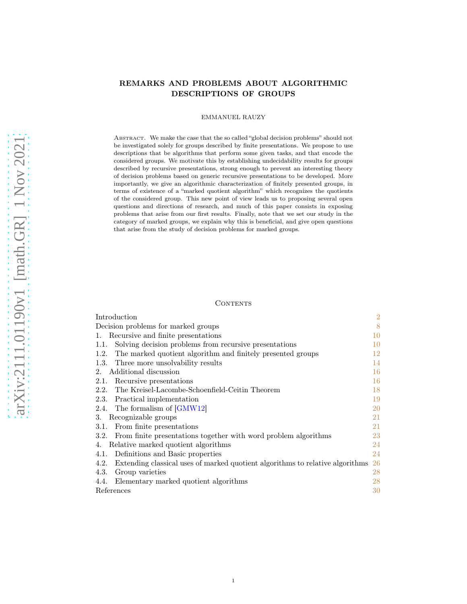# <span id="page-0-0"></span>REMARKS AND PROBLEMS ABOUT ALGORITHMIC DESCRIPTIONS OF GROUPS

### EMMANUEL RAUZY

ABSTRACT. We make the case that the so called "global decision problems" should not be investigated solely for groups described by finite presentations. We propose to use descriptions that be algorithms that perform some given tasks, and that encode the considered groups. We motivate this by establishing undecidability results for groups described by recursive presentations, strong enough to prevent an interesting theory of decision problems based on generic recursive presentations to be developed. More importantly, we give an algorithmic characterization of finitely presented groups, in terms of existence of a "marked quotient algorithm" which recognizes the quotients of the considered group. This new point of view leads us to proposing several open questions and directions of research, and much of this paper consists in exposing problems that arise from our first results. Finally, note that we set our study in the category of marked groups, we explain why this is beneficial, and give open questions that arise from the study of decision problems for marked groups.

### **CONTENTS**

| Introduction                                                                          | $\overline{2}$ |
|---------------------------------------------------------------------------------------|----------------|
| Decision problems for marked groups                                                   | 8              |
| Recursive and finite presentations<br>1.                                              | 10             |
| Solving decision problems from recursive presentations<br>1.1.                        | 10             |
| The marked quotient algorithm and finitely presented groups<br>1.2.                   | 12             |
| Three more unsolvability results<br>1.3.                                              | 14             |
| Additional discussion<br>$2^{\circ}$                                                  | 16             |
| Recursive presentations<br>2.1.                                                       | 16             |
| 2.2. The Kreisel-Lacombe-Schoenfield-Ceitin Theorem                                   | 18             |
| Practical implementation<br>2.3.                                                      | 19             |
| 2.4. The formalism of [GMW12]                                                         | 20             |
| Recognizable groups<br>3.                                                             | 21             |
| 3.1. From finite presentations                                                        | 21             |
| 3.2. From finite presentations together with word problem algorithms                  | 23             |
| Relative marked quotient algorithms<br>4.                                             | 24             |
| 4.1. Definitions and Basic properties                                                 | 24             |
| Extending classical uses of marked quotient algorithms to relative algorithms<br>4.2. | 26             |
| Group varieties<br>4.3.                                                               | 28             |
| 4.4. Elementary marked quotient algorithms                                            | 28             |
| References                                                                            | 30             |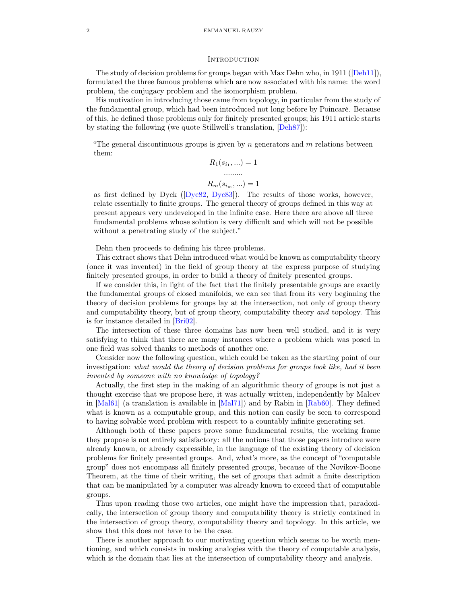#### <span id="page-1-0"></span>**INTRODUCTION**

<span id="page-1-1"></span>The study of decision problems for groups began with Max Dehn who, in 1911 ([\[Deh11\]](#page-29-1)), formulated the three famous problems which are now associated with his name: the word problem, the conjugacy problem and the isomorphism problem.

His motivation in introducing those came from topology, in particular from the study of the fundamental group, which had been introduced not long before by Poincaré. Because of this, he defined those problems only for finitely presented groups; his 1911 article starts by stating the following (we quote Stillwell's translation, [\[Deh87\]](#page-29-2)):

"The general discontinuous groups is given by  $n$  generators and  $m$  relations between them:

$$
R_1(s_{i_1},...)=1
$$
  
........  

$$
R_m(s_{i_m},...)=1
$$

as first defined by Dyck ([\[Dyc82,](#page-29-3) [Dyc83\]](#page-29-4)). The results of those works, however, relate essentially to finite groups. The general theory of groups defined in this way at present appears very undeveloped in the infinite case. Here there are above all three fundamental problems whose solution is very difficult and which will not be possible without a penetrating study of the subject."

Dehn then proceeds to defining his three problems.

This extract shows that Dehn introduced what would be known as computability theory (once it was invented) in the field of group theory at the express purpose of studying finitely presented groups, in order to build a theory of finitely presented groups.

If we consider this, in light of the fact that the finitely presentable groups are exactly the fundamental groups of closed manifolds, we can see that from its very beginning the theory of decision problems for groups lay at the intersection, not only of group theory and computability theory, but of group theory, computability theory and topology. This is for instance detailed in [\[Bri02\]](#page-29-5).

The intersection of these three domains has now been well studied, and it is very satisfying to think that there are many instances where a problem which was posed in one field was solved thanks to methods of another one.

Consider now the following question, which could be taken as the starting point of our investigation: what would the theory of decision problems for groups look like, had it been invented by someone with no knowledge of topology?

Actually, the first step in the making of an algorithmic theory of groups is not just a thought exercise that we propose here, it was actually written, independently by Malcev in [\[Mal61\]](#page-30-1) (a translation is available in [\[Mal71\]](#page-30-2)) and by Rabin in [\[Rab60\]](#page-30-3). They defined what is known as a computable group, and this notion can easily be seen to correspond to having solvable word problem with respect to a countably infinite generating set.

Although both of these papers prove some fundamental results, the working frame they propose is not entirely satisfactory: all the notions that those papers introduce were already known, or already expressible, in the language of the existing theory of decision problems for finitely presented groups. And, what's more, as the concept of "computable group" does not encompass all finitely presented groups, because of the Novikov-Boone Theorem, at the time of their writing, the set of groups that admit a finite description that can be manipulated by a computer was already known to exceed that of computable groups.

Thus upon reading those two articles, one might have the impression that, paradoxically, the intersection of group theory and computability theory is strictly contained in the intersection of group theory, computability theory and topology. In this article, we show that this does not have to be the case.

There is another approach to our motivating question which seems to be worth mentioning, and which consists in making analogies with the theory of computable analysis, which is the domain that lies at the intersection of computability theory and analysis.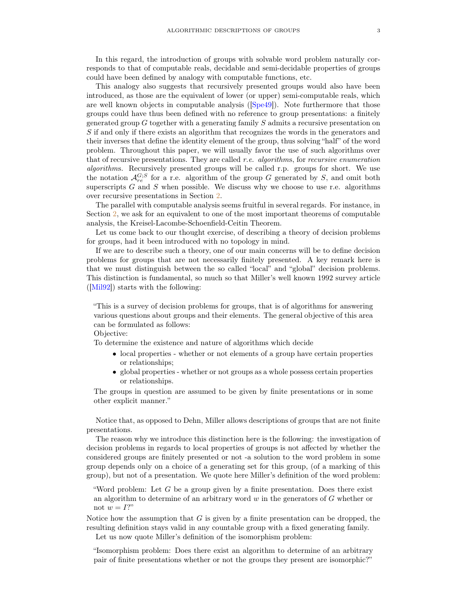<span id="page-2-0"></span>In this regard, the introduction of groups with solvable word problem naturally corresponds to that of computable reals, decidable and semi-decidable properties of groups could have been defined by analogy with computable functions, etc.

This analogy also suggests that recursively presented groups would also have been introduced, as those are the equivalent of lower (or upper) semi-computable reals, which are well known objects in computable analysis ([\[Spe49\]](#page-30-4)). Note furthermore that those groups could have thus been defined with no reference to group presentations: a finitely generated group G together with a generating family S admits a recursive presentation on S if and only if there exists an algorithm that recognizes the words in the generators and their inverses that define the identity element of the group, thus solving "half" of the word problem. Throughout this paper, we will usually favor the use of such algorithms over that of recursive presentations. They are called r.e. algorithms, for recursive enumeration algorithms. Recursively presented groups will be called r.p. groups for short. We use the notation  $\mathcal{A}_{re}^{G;S}$  for a r.e. algorithm of the group G generated by S, and omit both superscripts  $G$  and  $S$  when possible. We discuss why we choose to use r.e. algorithms over recursive presentations in Section [2.](#page-15-0)

The parallel with computable analysis seems fruitful in several regards. For instance, in Section [2,](#page-15-0) we ask for an equivalent to one of the most important theorems of computable analysis, the Kreisel-Lacombe-Schoenfield-Ceitin Theorem.

Let us come back to our thought exercise, of describing a theory of decision problems for groups, had it been introduced with no topology in mind.

If we are to describe such a theory, one of our main concerns will be to define decision problems for groups that are not necessarily finitely presented. A key remark here is that we must distinguish between the so called "local" and "global" decision problems. This distinction is fundamental, so much so that Miller's well known 1992 survey article ([\[Mil92\]](#page-30-5)) starts with the following:

"This is a survey of decision problems for groups, that is of algorithms for answering various questions about groups and their elements. The general objective of this area can be formulated as follows:

Objective:

To determine the existence and nature of algorithms which decide

- local properties whether or not elements of a group have certain properties or relationships;
- global properties whether or not groups as a whole possess certain properties or relationships.

The groups in question are assumed to be given by finite presentations or in some other explicit manner."

Notice that, as opposed to Dehn, Miller allows descriptions of groups that are not finite presentations.

The reason why we introduce this distinction here is the following: the investigation of decision problems in regards to local properties of groups is not affected by whether the considered groups are finitely presented or not -a solution to the word problem in some group depends only on a choice of a generating set for this group, (of a marking of this group), but not of a presentation. We quote here Miller's definition of the word problem:

"Word problem: Let  $G$  be a group given by a finite presentation. Does there exist an algorithm to determine of an arbitrary word  $w$  in the generators of  $G$  whether or not  $w = I$ ?"

Notice how the assumption that  $G$  is given by a finite presentation can be dropped, the resulting definition stays valid in any countable group with a fixed generating family. Let us now quote Miller's definition of the isomorphism problem:

"Isomorphism problem: Does there exist an algorithm to determine of an arbitrary pair of finite presentations whether or not the groups they present are isomorphic?"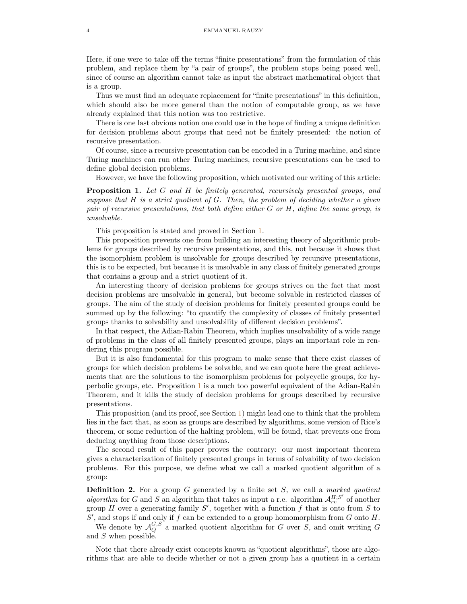Here, if one were to take off the terms "finite presentations" from the formulation of this problem, and replace them by "a pair of groups", the problem stops being posed well, since of course an algorithm cannot take as input the abstract mathematical object that is a group.

Thus we must find an adequate replacement for "finite presentations" in this definition, which should also be more general than the notion of computable group, as we have already explained that this notion was too restrictive.

There is one last obvious notion one could use in the hope of finding a unique definition for decision problems about groups that need not be finitely presented: the notion of recursive presentation.

Of course, since a recursive presentation can be encoded in a Turing machine, and since Turing machines can run other Turing machines, recursive presentations can be used to define global decision problems.

However, we have the following proposition, which motivated our writing of this article:

<span id="page-3-0"></span>**Proposition 1.** Let G and H be finitely generated, recursively presented groups, and suppose that  $H$  is a strict quotient of  $G$ . Then, the problem of deciding whether a given pair of recursive presentations, that both define either  $G$  or  $H$ , define the same group, is unsolvable.

This proposition is stated and proved in Section [1.](#page-9-0)

This proposition prevents one from building an interesting theory of algorithmic problems for groups described by recursive presentations, and this, not because it shows that the isomorphism problem is unsolvable for groups described by recursive presentations, this is to be expected, but because it is unsolvable in any class of finitely generated groups that contains a group and a strict quotient of it.

An interesting theory of decision problems for groups strives on the fact that most decision problems are unsolvable in general, but become solvable in restricted classes of groups. The aim of the study of decision problems for finitely presented groups could be summed up by the following: "to quantify the complexity of classes of finitely presented groups thanks to solvability and unsolvability of different decision problems".

In that respect, the Adian-Rabin Theorem, which implies unsolvability of a wide range of problems in the class of all finitely presented groups, plays an important role in rendering this program possible.

But it is also fundamental for this program to make sense that there exist classes of groups for which decision problems be solvable, and we can quote here the great achievements that are the solutions to the isomorphism problems for polycyclic groups, for hyperbolic groups, etc. Proposition [1](#page-3-0) is a much too powerful equivalent of the Adian-Rabin Theorem, and it kills the study of decision problems for groups described by recursive presentations.

This proposition (and its proof, see Section [1\)](#page-9-0) might lead one to think that the problem lies in the fact that, as soon as groups are described by algorithms, some version of Rice's theorem, or some reduction of the halting problem, will be found, that prevents one from deducing anything from those descriptions.

The second result of this paper proves the contrary: our most important theorem gives a characterization of finitely presented groups in terms of solvability of two decision problems. For this purpose, we define what we call a marked quotient algorithm of a group:

<span id="page-3-1"></span>**Definition 2.** For a group G generated by a finite set  $S$ , we call a marked quotient algorithm for G and S an algorithm that takes as input a r.e. algorithm  $\mathcal{A}_{re}^{H,S'}$  of another group H over a generating family  $S'$ , together with a function f that is onto from S to  $S'$ , and stops if and only if f can be extended to a group homomorphism from G onto H.

We denote by  $\mathcal{A}_Q^{G,S}$  a marked quotient algorithm for G over S, and omit writing G and S when possible.

Note that there already exist concepts known as "quotient algorithms", those are algorithms that are able to decide whether or not a given group has a quotient in a certain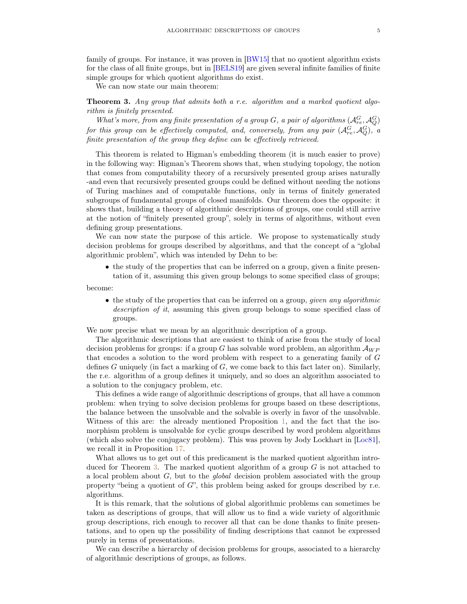<span id="page-4-1"></span>family of groups. For instance, it was proven in [\[BW15\]](#page-29-6) that no quotient algorithm exists for the class of all finite groups, but in [\[BELS19\]](#page-29-7) are given several infinite families of finite simple groups for which quotient algorithms do exist.

We can now state our main theorem:

<span id="page-4-0"></span>Theorem 3. Any group that admits both a r.e. algorithm and a marked quotient algorithm is finitely presented.

What's more, from any finite presentation of a group G, a pair of algorithms  $(A_{re}^G, A_{Q}^G)$ for this group can be effectively computed, and, conversely, from any pair  $(\mathcal{A}_{re}^G, \mathcal{A}_{Q}^G)$ , a finite presentation of the group they define can be effectively retrieved.

This theorem is related to Higman's embedding theorem (it is much easier to prove) in the following way: Higman's Theorem shows that, when studying topology, the notion that comes from computability theory of a recursively presented group arises naturally -and even that recursively presented groups could be defined without needing the notions of Turing machines and of computable functions, only in terms of finitely generated subgroups of fundamental groups of closed manifolds. Our theorem does the opposite: it shows that, building a theory of algorithmic descriptions of groups, one could still arrive at the notion of "finitely presented group", solely in terms of algorithms, without even defining group presentations.

We can now state the purpose of this article. We propose to systematically study decision problems for groups described by algorithms, and that the concept of a "global algorithmic problem", which was intended by Dehn to be:

• the study of the properties that can be inferred on a group, given a finite presentation of it, assuming this given group belongs to some specified class of groups;

become:

• the study of the properties that can be inferred on a group, *given any algorithmic* description of it, assuming this given group belongs to some specified class of groups.

We now precise what we mean by an algorithmic description of a group.

The algorithmic descriptions that are easiest to think of arise from the study of local decision problems for groups: if a group G has solvable word problem, an algorithm  $\mathcal{A}_{WP}$ that encodes a solution to the word problem with respect to a generating family of G defines  $G$  uniquely (in fact a marking of  $G$ , we come back to this fact later on). Similarly, the r.e. algorithm of a group defines it uniquely, and so does an algorithm associated to a solution to the conjugacy problem, etc.

This defines a wide range of algorithmic descriptions of groups, that all have a common problem: when trying to solve decision problems for groups based on these descriptions, the balance between the unsolvable and the solvable is overly in favor of the unsolvable. Witness of this are: the already mentioned Proposition [1,](#page-3-0) and the fact that the isomorphism problem is unsolvable for cyclic groups described by word problem algorithms (which also solve the conjugacy problem). This was proven by Jody Lockhart in [\[Loc81\]](#page-30-6), we recall it in Proposition [17.](#page-15-2)

What allows us to get out of this predicament is the marked quotient algorithm intro-duced for Theorem [3.](#page-4-0) The marked quotient algorithm of a group  $G$  is not attached to a local problem about  $G$ , but to the *global* decision problem associated with the group property "being a quotient of  $G$ ", this problem being asked for groups described by r.e. algorithms.

It is this remark, that the solutions of global algorithmic problems can sometimes be taken as descriptions of groups, that will allow us to find a wide variety of algorithmic group descriptions, rich enough to recover all that can be done thanks to finite presentations, and to open up the possibility of finding descriptions that cannot be expressed purely in terms of presentations.

We can describe a hierarchy of decision problems for groups, associated to a hierarchy of algorithmic descriptions of groups, as follows.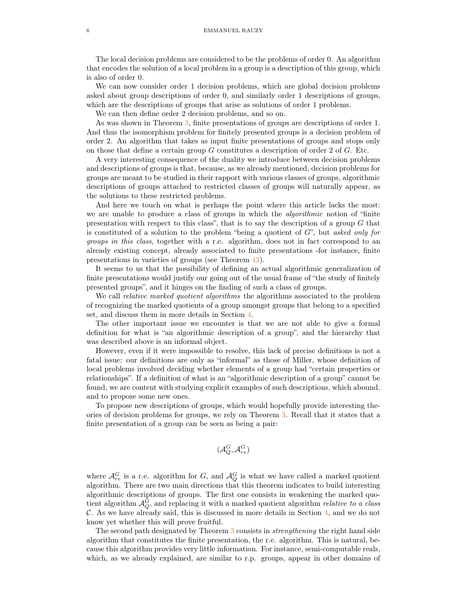The local decision problems are considered to be the problems of order 0. An algorithm that encodes the solution of a local problem in a group is a description of this group, which is also of order 0.

We can now consider order 1 decision problems, which are global decision problems asked about group descriptions of order 0, and similarly order 1 descriptions of groups, which are the descriptions of groups that arise as solutions of order 1 problems.

We can then define order 2 decision problems, and so on.

As was shown in Theorem [3,](#page-4-0) finite presentations of groups are descriptions of order 1. And thus the isomorphism problem for finitely presented groups is a decision problem of order 2. An algorithm that takes as input finite presentations of groups and stops only on those that define a certain group  $G$  constitutes a description of order 2 of  $G$ . Etc.

A very interesting consequence of the duality we introduce between decision problems and descriptions of groups is that, because, as we already mentioned, decision problems for groups are meant to be studied in their rapport with various classes of groups, algorithmic descriptions of groups attached to restricted classes of groups will naturally appear, as the solutions to these restricted problems.

And here we touch on what is perhaps the point where this article lacks the most: we are unable to produce a class of groups in which the *algorithmic* notion of "finite presentation with respect to this class", that is to say the description of a group  $G$  that is constituted of a solution to the problem "being a quotient of  $G$ ", but asked only for groups in this class, together with a r.e. algorithm, does not in fact correspond to an already existing concept, already associated to finite presentations -for instance, finite presentations in varieties of groups (see Theorem [43\)](#page-27-2).

It seems to us that the possibility of defining an actual algorithmic generalization of finite presentations would justify our going out of the usual frame of "the study of finitely presented groups", and it hinges on the finding of such a class of groups.

We call *relative marked quotient algorithms* the algorithms associated to the problem of recognizing the marked quotients of a group amongst groups that belong to a specified set, and discuss them in more details in Section [4.](#page-23-0)

The other important issue we encounter is that we are not able to give a formal definition for what is "an algorithmic description of a group", and the hierarchy that was described above is an informal object.

However, even if it were impossible to resolve, this lack of precise definitions is not a fatal issue: our definitions are only as "informal" as those of Miller, whose definition of local problems involved deciding whether elements of a group had "certain properties or relationships". If a definition of what is an "algorithmic description of a group" cannot be found, we are content with studying explicit examples of such descriptions, which abound, and to propose some new ones.

To propose new descriptions of groups, which would hopefully provide interesting theories of decision problems for groups, we rely on Theorem [3.](#page-4-0) Recall that it states that a finite presentation of a group can be seen as being a pair:

$$
(\mathcal{A}_Q^G,\mathcal{A}_{re}^G)
$$

where  $\mathcal{A}_{re}^G$  is a r.e. algorithm for G, and  $\mathcal{A}_{Q}^G$  is what we have called a marked quotient algorithm. There are two main directions that this theorem indicates to build interesting algorithmic descriptions of groups. The first one consists in weakening the marked quotient algorithm  $A_Q^G$ , and replacing it with a marked quotient algorithm *relative to a class*  $\mathcal{C}$ . As we have already said, this is discussed in more details in Section [4,](#page-23-0) and we do not know yet whether this will prove fruitful.

The second path designated by Theorem [3](#page-4-0) consists in strengthening the right hand side algorithm that constitutes the finite presentation, the r.e. algorithm. This is natural, because this algorithm provides very little information. For instance, semi-computable reals, which, as we already explained, are similar to r.p. groups, appear in other domains of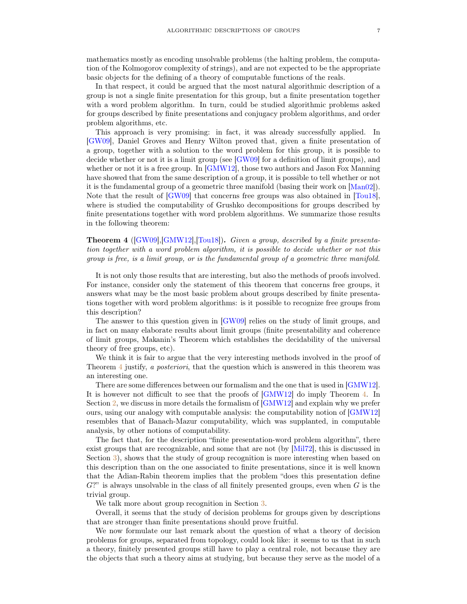<span id="page-6-1"></span>mathematics mostly as encoding unsolvable problems (the halting problem, the computation of the Kolmogorov complexity of strings), and are not expected to be the appropriate basic objects for the defining of a theory of computable functions of the reals.

In that respect, it could be argued that the most natural algorithmic description of a group is not a single finite presentation for this group, but a finite presentation together with a word problem algorithm. In turn, could be studied algorithmic problems asked for groups described by finite presentations and conjugacy problem algorithms, and order problem algorithms, etc.

This approach is very promising: in fact, it was already successfully applied. In [\[GW09\]](#page-30-7), Daniel Groves and Henry Wilton proved that, given a finite presentation of a group, together with a solution to the word problem for this group, it is possible to decide whether or not it is a limit group (see [\[GW09\]](#page-30-7) for a definition of limit groups), and whether or not it is a free group. In [\[GMW12\]](#page-30-0), those two authors and Jason Fox Manning have showed that from the same description of a group, it is possible to tell whether or not it is the fundamental group of a geometric three manifold (basing their work on [\[Man02\]](#page-30-8)). Note that the result of [\[GW09\]](#page-30-7) that concerns free groups was also obtained in [\[Tou18\]](#page-31-0), where is studied the computability of Grushko decompositions for groups described by finite presentations together with word problem algorithms. We summarize those results in the following theorem:

<span id="page-6-0"></span>Theorem 4 ([\[GW09\]](#page-30-7),[\[GMW12\]](#page-30-0),[\[Tou18\]](#page-31-0)). Given a group, described by a finite presentation together with a word problem algorithm, it is possible to decide whether or not this group is free, is a limit group, or is the fundamental group of a geometric three manifold.

It is not only those results that are interesting, but also the methods of proofs involved. For instance, consider only the statement of this theorem that concerns free groups, it answers what may be the most basic problem about groups described by finite presentations together with word problem algorithms: is it possible to recognize free groups from this description?

The answer to this question given in [\[GW09\]](#page-30-7) relies on the study of limit groups, and in fact on many elaborate results about limit groups (finite presentability and coherence of limit groups, Makanin's Theorem which establishes the decidability of the universal theory of free groups, etc).

We think it is fair to argue that the very interesting methods involved in the proof of Theorem [4](#page-6-0) justify, a posteriori, that the question which is answered in this theorem was an interesting one.

There are some differences between our formalism and the one that is used in [\[GMW12\]](#page-30-0). It is however not difficult to see that the proofs of [\[GMW12\]](#page-30-0) do imply Theorem [4.](#page-6-0) In Section [2,](#page-15-0) we discuss in more details the formalism of [\[GMW12\]](#page-30-0) and explain why we prefer ours, using our analogy with computable analysis: the computability notion of [\[GMW12\]](#page-30-0) resembles that of Banach-Mazur computability, which was supplanted, in computable analysis, by other notions of computability.

The fact that, for the description "finite presentation-word problem algorithm", there exist groups that are recognizable, and some that are not (by [\[Mil72\]](#page-30-9), this is discussed in Section [3\)](#page-20-0), shows that the study of group recognition is more interesting when based on this description than on the one associated to finite presentations, since it is well known that the Adian-Rabin theorem implies that the problem "does this presentation define  $G$ ?" is always unsolvable in the class of all finitely presented groups, even when  $G$  is the trivial group.

We talk more about group recognition in Section [3.](#page-20-0)

Overall, it seems that the study of decision problems for groups given by descriptions that are stronger than finite presentations should prove fruitful.

We now formulate our last remark about the question of what a theory of decision problems for groups, separated from topology, could look like: it seems to us that in such a theory, finitely presented groups still have to play a central role, not because they are the objects that such a theory aims at studying, but because they serve as the model of a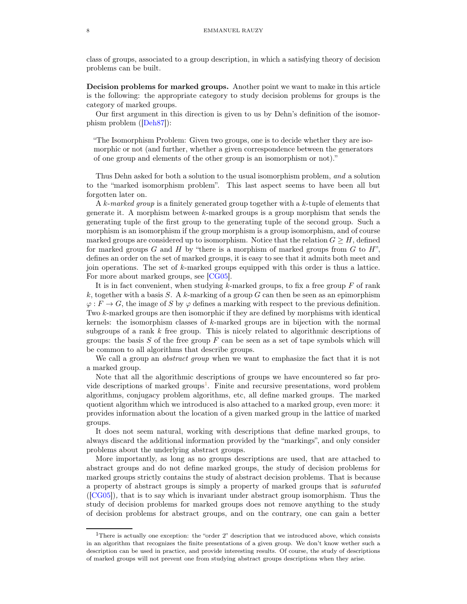<span id="page-7-2"></span>class of groups, associated to a group description, in which a satisfying theory of decision problems can be built.

<span id="page-7-0"></span>Decision problems for marked groups. Another point we want to make in this article is the following: the appropriate category to study decision problems for groups is the category of marked groups.

Our first argument in this direction is given to us by Dehn's definition of the isomorphism problem ([\[Deh87\]](#page-29-2)):

"The Isomorphism Problem: Given two groups, one is to decide whether they are isomorphic or not (and further, whether a given correspondence between the generators of one group and elements of the other group is an isomorphism or not)."

Thus Dehn asked for both a solution to the usual isomorphism problem, and a solution to the "marked isomorphism problem". This last aspect seems to have been all but forgotten later on.

A k-marked group is a finitely generated group together with a k-tuple of elements that generate it. A morphism between k-marked groups is a group morphism that sends the generating tuple of the first group to the generating tuple of the second group. Such a morphism is an isomorphism if the group morphism is a group isomorphism, and of course marked groups are considered up to isomorphism. Notice that the relation  $G \geq H$ , defined for marked groups G and H by "there is a morphism of marked groups from  $G$  to  $H$ ", defines an order on the set of marked groups, it is easy to see that it admits both meet and join operations. The set of  $k$ -marked groups equipped with this order is thus a lattice. For more about marked groups, see [\[CG05\]](#page-29-8).

It is in fact convenient, when studying  $k$ -marked groups, to fix a free group  $F$  of rank k, together with a basis S. A k-marking of a group G can then be seen as an epimorphism  $\varphi: F \to G$ , the image of S by  $\varphi$  defines a marking with respect to the previous definition. Two k-marked groups are then isomorphic if they are defined by morphisms with identical kernels: the isomorphism classes of  $k$ -marked groups are in bijection with the normal subgroups of a rank  $k$  free group. This is nicely related to algorithmic descriptions of groups: the basis  $S$  of the free group  $F$  can be seen as a set of tape symbols which will be common to all algorithms that describe groups.

We call a group an *abstract group* when we want to emphasize the fact that it is not a marked group.

Note that all the algorithmic descriptions of groups we have encountered so far pro-vide descriptions of marked groups<sup>[1](#page-7-1)</sup>. Finite and recursive presentations, word problem algorithms, conjugacy problem algorithms, etc, all define marked groups. The marked quotient algorithm which we introduced is also attached to a marked group, even more: it provides information about the location of a given marked group in the lattice of marked groups.

It does not seem natural, working with descriptions that define marked groups, to always discard the additional information provided by the "markings", and only consider problems about the underlying abstract groups.

More importantly, as long as no groups descriptions are used, that are attached to abstract groups and do not define marked groups, the study of decision problems for marked groups strictly contains the study of abstract decision problems. That is because a property of abstract groups is simply a property of marked groups that is saturated ([\[CG05\]](#page-29-8)), that is to say which is invariant under abstract group isomorphism. Thus the study of decision problems for marked groups does not remove anything to the study of decision problems for abstract groups, and on the contrary, one can gain a better

<span id="page-7-1"></span><sup>&</sup>lt;sup>1</sup>There is actually one exception: the "order 2" description that we introduced above, which consists in an algorithm that recognizes the finite presentations of a given group. We don't know wether such a description can be used in practice, and provide interesting results. Of course, the study of descriptions of marked groups will not prevent one from studying abstract groups descriptions when they arise.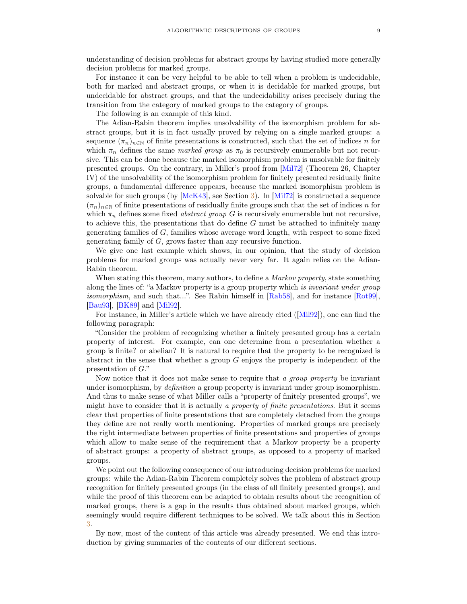<span id="page-8-0"></span>understanding of decision problems for abstract groups by having studied more generally decision problems for marked groups.

For instance it can be very helpful to be able to tell when a problem is undecidable, both for marked and abstract groups, or when it is decidable for marked groups, but undecidable for abstract groups, and that the undecidability arises precisely during the transition from the category of marked groups to the category of groups.

The following is an example of this kind.

The Adian-Rabin theorem implies unsolvability of the isomorphism problem for abstract groups, but it is in fact usually proved by relying on a single marked groups: a sequence  $(\pi_n)_{n\in\mathbb{N}}$  of finite presentations is constructed, such that the set of indices n for which  $\pi_n$  defines the same marked group as  $\pi_0$  is recursively enumerable but not recursive. This can be done because the marked isomorphism problem is unsolvable for finitely presented groups. On the contrary, in Miller's proof from [\[Mil72\]](#page-30-9) (Theorem 26, Chapter IV) of the unsolvability of the isomorphism problem for finitely presented residually finite groups, a fundamental difference appears, because the marked isomorphism problem is solvable for such groups (by [\[McK43\]](#page-30-10), see Section [3\)](#page-20-0). In [\[Mil72\]](#page-30-9) is constructed a sequence  $(\pi_n)_{n\in\mathbb{N}}$  of finite presentations of residually finite groups such that the set of indices n for which  $\pi_n$  defines some fixed *abstract group G* is recursively enumerable but not recursive, to achieve this, the presentations that do define  $G$  must be attached to infinitely many generating families of  $G$ , families whose average word length, with respect to some fixed generating family of G, grows faster than any recursive function.

We give one last example which shows, in our opinion, that the study of decision problems for marked groups was actually never very far. It again relies on the Adian-Rabin theorem.

When stating this theorem, many authors, to define a *Markov property*, state something along the lines of: "a Markov property is a group property which is invariant under group isomorphism, and such that...". See Rabin himself in  $[Rab58]$ , and for instance  $[Rot99]$ , [\[Bau93\]](#page-29-9), [\[BK89\]](#page-29-10) and [\[Mil92\]](#page-30-5).

For instance, in Miller's article which we have already cited ([\[Mil92\]](#page-30-5)), one can find the following paragraph:

"Consider the problem of recognizing whether a finitely presented group has a certain property of interest. For example, can one determine from a presentation whether a group is finite? or abelian? It is natural to require that the property to be recognized is abstract in the sense that whether a group  $G$  enjoys the property is independent of the presentation of G."

Now notice that it does not make sense to require that a group property be invariant under isomorphism, by *definition* a group property is invariant under group isomorphism. And thus to make sense of what Miller calls a "property of finitely presented groups", we might have to consider that it is actually a property of finite presentations. But it seems clear that properties of finite presentations that are completely detached from the groups they define are not really worth mentioning. Properties of marked groups are precisely the right intermediate between properties of finite presentations and properties of groups which allow to make sense of the requirement that a Markov property be a property of abstract groups: a property of abstract groups, as opposed to a property of marked groups.

We point out the following consequence of our introducing decision problems for marked groups: while the Adian-Rabin Theorem completely solves the problem of abstract group recognition for finitely presented groups (in the class of all finitely presented groups), and while the proof of this theorem can be adapted to obtain results about the recognition of marked groups, there is a gap in the results thus obtained about marked groups, which seemingly would require different techniques to be solved. We talk about this in Section [3.](#page-20-0)

By now, most of the content of this article was already presented. We end this introduction by giving summaries of the contents of our different sections.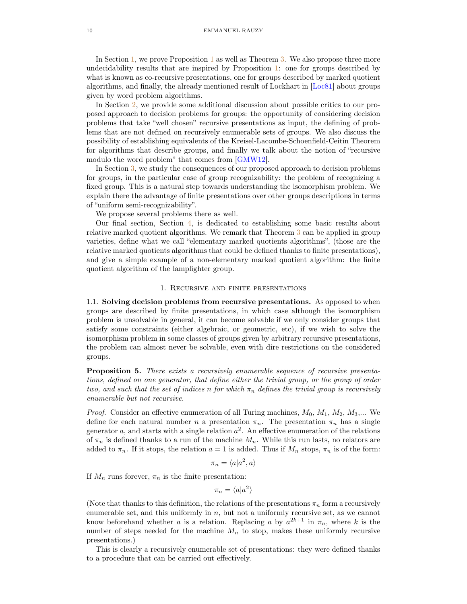<span id="page-9-3"></span>In Section [1,](#page-9-0) we prove Proposition [1](#page-3-0) as well as Theorem [3.](#page-4-0) We also propose three more undecidability results that are inspired by Proposition [1:](#page-3-0) one for groups described by what is known as co-recursive presentations, one for groups described by marked quotient algorithms, and finally, the already mentioned result of Lockhart in [\[Loc81\]](#page-30-6) about groups given by word problem algorithms.

In Section [2,](#page-15-0) we provide some additional discussion about possible critics to our proposed approach to decision problems for groups: the opportunity of considering decision problems that take "well chosen" recursive presentations as input, the defining of problems that are not defined on recursively enumerable sets of groups. We also discuss the possibility of establishing equivalents of the Kreisel-Lacombe-Schoenfield-Ceitin Theorem for algorithms that describe groups, and finally we talk about the notion of "recursive modulo the word problem" that comes from [\[GMW12\]](#page-30-0).

In Section [3,](#page-20-0) we study the consequences of our proposed approach to decision problems for groups, in the particular case of group recognizability: the problem of recognizing a fixed group. This is a natural step towards understanding the isomorphism problem. We explain there the advantage of finite presentations over other groups descriptions in terms of "uniform semi-recognizability".

We propose several problems there as well.

Our final section, Section [4,](#page-23-0) is dedicated to establishing some basic results about relative marked quotient algorithms. We remark that Theorem [3](#page-4-0) can be applied in group varieties, define what we call "elementary marked quotients algorithms", (those are the relative marked quotients algorithms that could be defined thanks to finite presentations), and give a simple example of a non-elementary marked quotient algorithm: the finite quotient algorithm of the lamplighter group.

### 1. Recursive and finite presentations

<span id="page-9-1"></span><span id="page-9-0"></span>1.1. Solving decision problems from recursive presentations. As opposed to when groups are described by finite presentations, in which case although the isomorphism problem is unsolvable in general, it can become solvable if we only consider groups that satisfy some constraints (either algebraic, or geometric, etc), if we wish to solve the isomorphism problem in some classes of groups given by arbitrary recursive presentations, the problem can almost never be solvable, even with dire restrictions on the considered groups.

<span id="page-9-2"></span>Proposition 5. There exists a recursively enumerable sequence of recursive presentations, defined on one generator, that define either the trivial group, or the group of order two, and such that the set of indices n for which  $\pi_n$  defines the trivial group is recursively enumerable but not recursive.

*Proof.* Consider an effective enumeration of all Turing machines,  $M_0$ ,  $M_1$ ,  $M_2$ ,  $M_3$ ,... We define for each natural number n a presentation  $\pi_n$ . The presentation  $\pi_n$  has a single generator a, and starts with a single relation  $a^2$ . An effective enumeration of the relations of  $\pi_n$  is defined thanks to a run of the machine  $M_n$ . While this run lasts, no relators are added to  $\pi_n$ . If it stops, the relation  $a = 1$  is added. Thus if  $M_n$  stops,  $\pi_n$  is of the form:

$$
\pi_n = \langle a | a^2, a \rangle
$$

If  $M_n$  runs forever,  $\pi_n$  is the finite presentation:

$$
\pi_n = \langle a | a^2 \rangle
$$

(Note that thanks to this definition, the relations of the presentations  $\pi_n$  form a recursively enumerable set, and this uniformly in  $n$ , but not a uniformly recursive set, as we cannot know beforehand whether a is a relation. Replacing a by  $a^{2k+1}$  in  $\pi_n$ , where k is the number of steps needed for the machine  $M_n$  to stop, makes these uniformly recursive presentations.)

This is clearly a recursively enumerable set of presentations: they were defined thanks to a procedure that can be carried out effectively.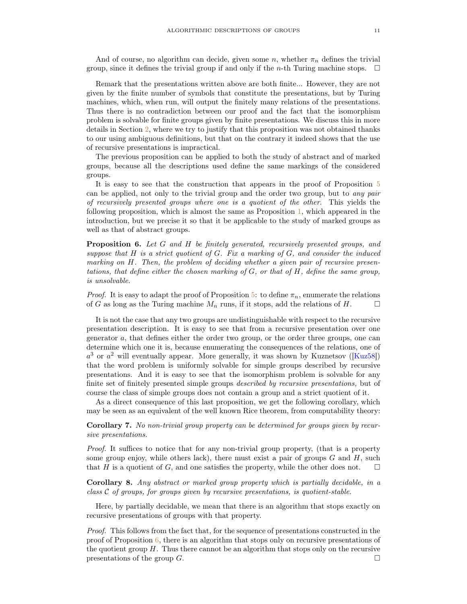<span id="page-10-1"></span>And of course, no algorithm can decide, given some  $n$ , whether  $\pi_n$  defines the trivial group, since it defines the trivial group if and only if the *n*-th Turing machine stops.  $\Box$ 

Remark that the presentations written above are both finite... However, they are not given by the finite number of symbols that constitute the presentations, but by Turing machines, which, when run, will output the finitely many relations of the presentations. Thus there is no contradiction between our proof and the fact that the isomorphism problem is solvable for finite groups given by finite presentations. We discuss this in more details in Section [2,](#page-15-0) where we try to justify that this proposition was not obtained thanks to our using ambiguous definitions, but that on the contrary it indeed shows that the use of recursive presentations is impractical.

The previous proposition can be applied to both the study of abstract and of marked groups, because all the descriptions used define the same markings of the considered groups.

It is easy to see that the construction that appears in the proof of Proposition [5](#page-9-2) can be applied, not only to the trivial group and the order two group, but to any pair of recursively presented groups where one is a quotient of the other. This yields the following proposition, which is almost the same as Proposition [1,](#page-3-0) which appeared in the introduction, but we precise it so that it be applicable to the study of marked groups as well as that of abstract groups.

<span id="page-10-0"></span>**Proposition 6.** Let G and H be finitely generated, recursively presented groups, and suppose that  $H$  is a strict quotient of  $G$ . Fix a marking of  $G$ , and consider the induced marking on H. Then, the problem of deciding whether a given pair of recursive presentations, that define either the chosen marking of  $G$ , or that of  $H$ , define the same group, is unsolvable.

*Proof.* It is easy to adapt the proof of Proposition [5:](#page-9-2) to define  $\pi_n$ , enumerate the relations of G as long as the Turing machine  $M_n$  runs, if it stops, add the relations of H.

It is not the case that any two groups are undistinguishable with respect to the recursive presentation description. It is easy to see that from a recursive presentation over one generator a, that defines either the order two group, or the order three groups, one can determine which one it is, because enumerating the consequences of the relations, one of  $a^3$  or  $a^2$  will eventually appear. More generally, it was shown by Kuznetsov ([\[Kuz58\]](#page-30-13)) that the word problem is uniformly solvable for simple groups described by recursive presentations. And it is easy to see that the isomorphism problem is solvable for any finite set of finitely presented simple groups described by recursive presentations, but of course the class of simple groups does not contain a group and a strict quotient of it.

As a direct consequence of this last proposition, we get the following corollary, which may be seen as an equivalent of the well known Rice theorem, from computability theory:

Corollary 7. No non-trivial group property can be determined for groups given by recursive presentations.

Proof. It suffices to notice that for any non-trivial group property, (that is a property some group enjoy, while others lack), there must exist a pair of groups  $G$  and  $H$ , such that H is a quotient of G, and one satisfies the property, while the other does not.  $\square$ 

Corollary 8. Any abstract or marked group property which is partially decidable, in a  $class \mathcal{C}$  of groups, for groups given by recursive presentations, is quotient-stable.

Here, by partially decidable, we mean that there is an algorithm that stops exactly on recursive presentations of groups with that property.

Proof. This follows from the fact that, for the sequence of presentations constructed in the proof of Proposition  $6$ , there is an algorithm that stops only on recursive presentations of the quotient group  $H$ . Thus there cannot be an algorithm that stops only on the recursive presentations of the group  $G$ .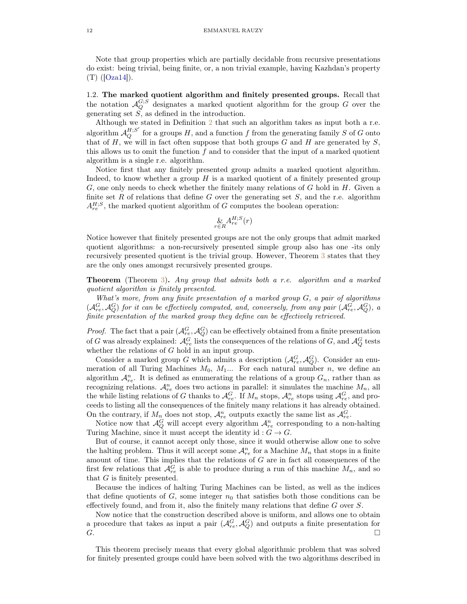<span id="page-11-1"></span>Note that group properties which are partially decidable from recursive presentations do exist: being trivial, being finite, or, a non trivial example, having Kazhdan's property  $(T)$  ([\[Oza14\]](#page-30-14)).

<span id="page-11-0"></span>1.2. The marked quotient algorithm and finitely presented groups. Recall that the notation  $\mathcal{A}_Q^{G;S}$  designates a marked quotient algorithm for the group G over the generating set  $S$ , as defined in the introduction.

Although we stated in Definition [2](#page-3-1) that such an algorithm takes as input both a r.e. algorithm  $\mathcal{A}_Q^{H;S'}$  for a groups H, and a function f from the generating family S of G onto that of  $H$ , we will in fact often suppose that both groups  $G$  and  $H$  are generated by  $S$ , this allows us to omit the function  $f$  and to consider that the input of a marked quotient algorithm is a single r.e. algorithm.

Notice first that any finitely presented group admits a marked quotient algorithm. Indeed, to know whether a group  $H$  is a marked quotient of a finitely presented group  $G$ , one only needs to check whether the finitely many relations of  $G$  hold in  $H$ . Given a finite set R of relations that define G over the generating set  $S$ , and the r.e. algorithm  $A_{re}^{H,S}$ , the marked quotient algorithm of G computes the boolean operation:

$$
\underset{r \in R}{\&} A^{H;S}_{re}(r)
$$

Notice however that finitely presented groups are not the only groups that admit marked quotient algorithms: a non-recursively presented simple group also has one -its only recursively presented quotient is the trivial group. However, Theorem [3](#page-4-0) states that they are the only ones amongst recursively presented groups.

**Theorem** (Theorem [3\)](#page-4-0). Any group that admits both a r.e. algorithm and a marked quotient algorithm is finitely presented.

What's more, from any finite presentation of a marked group G, a pair of algorithms  $(\mathcal{A}_{re}^G, \mathcal{A}_{Q}^G)$  for it can be effectively computed, and, conversely, from any pair  $(\mathcal{A}_{re}^G, \mathcal{A}_{Q}^G)$ , a finite presentation of the marked group they define can be effectively retrieved.

*Proof.* The fact that a pair  $(\mathcal{A}_{re}^G, \mathcal{A}_{Q}^G)$  can be effectively obtained from a finite presentation of G was already explained:  $\mathcal{A}_{re}^G$  lists the consequences of the relations of G, and  $\mathcal{A}_{Q}^G$  tests whether the relations of G hold in an input group.

Consider a marked group G which admits a description  $(\mathcal{A}_{re}^G, \mathcal{A}_{Q}^G)$ . Consider an enumeration of all Turing Machines  $M_0$ ,  $M_1$ ... For each natural number n, we define an algorithm  $\mathcal{A}_{re}^n$ . It is defined as enumerating the relations of a group  $G_n$ , rather than as recognizing relations.  $\mathcal{A}_{re}^{n}$  does two actions in parallel: it simulates the machine  $M_{n}$ , all the while listing relations of G thanks to  $\mathcal{A}_{re}^G$ . If  $M_n$  stops,  $\mathcal{A}_{re}^n$  stops using  $\mathcal{A}_{re}^G$ , and proceeds to listing all the consequences of the finitely many relations it has already obtained. On the contrary, if  $M_n$  does not stop,  $\mathcal{A}_{re}^n$  outputs exactly the same list as  $\mathcal{A}_{re}^G$ .

Notice now that  $\mathcal{A}_Q^G$  will accept every algorithm  $\mathcal{A}_{re}^n$  corresponding to a non-halting Turing Machine, since it must accept the identity id :  $G \to G$ .

But of course, it cannot accept only those, since it would otherwise allow one to solve the halting problem. Thus it will accept some  $\mathcal{A}_{re}^{n}$  for a Machine  $M_{n}$  that stops in a finite amount of time. This implies that the relations of  $G$  are in fact all consequences of the first few relations that  $\mathcal{A}_{re}^G$  is able to produce during a run of this machine  $M_n$ , and so that  $G$  is finitely presented.

Because the indices of halting Turing Machines can be listed, as well as the indices that define quotients of  $G$ , some integer  $n_0$  that satisfies both those conditions can be effectively found, and from it, also the finitely many relations that define G over S.

Now notice that the construction described above is uniform, and allows one to obtain a procedure that takes as input a pair  $(\mathcal{A}_{re}^G, \mathcal{A}_{Q}^G)$  and outputs a finite presentation for  $G.$ 

This theorem precisely means that every global algorithmic problem that was solved for finitely presented groups could have been solved with the two algorithms described in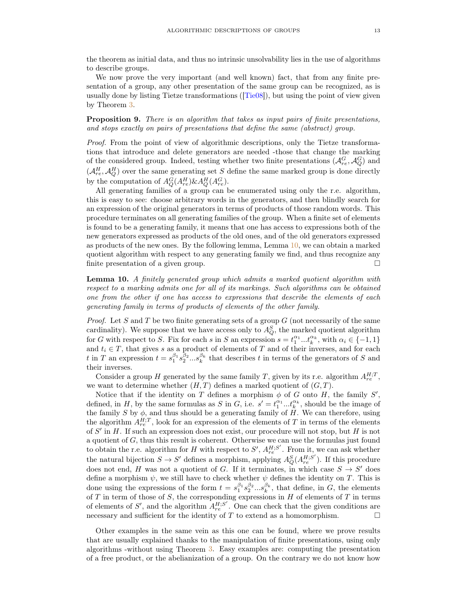<span id="page-12-2"></span>the theorem as initial data, and thus no intrinsic unsolvability lies in the use of algorithms to describe groups.

We now prove the very important (and well known) fact, that from any finite presentation of a group, any other presentation of the same group can be recognized, as is usually done by listing Tietze transformations ([\[Tie08\]](#page-31-1)), but using the point of view given by Theorem [3.](#page-4-0)

<span id="page-12-1"></span>Proposition 9. There is an algorithm that takes as input pairs of finite presentations, and stops exactly on pairs of presentations that define the same (abstract) group.

Proof. From the point of view of algorithmic descriptions, only the Tietze transformations that introduce and delete generators are needed -those that change the marking of the considered group. Indeed, testing whether two finite presentations  $(\mathcal{A}_{re}^G, \mathcal{A}_{Q}^G)$  and  $(\mathcal{A}_{re}^H, \mathcal{A}_{Q}^H)$  over the same generating set S define the same marked group is done directly by the computation of  $A_Q^G(A_{re}^H) \& A_Q^H(A_{re}^G)$ .

All generating families of a group can be enumerated using only the r.e. algorithm, this is easy to see: choose arbitrary words in the generators, and then blindly search for an expression of the original generators in terms of products of those random words. This procedure terminates on all generating families of the group. When a finite set of elements is found to be a generating family, it means that one has access to expressions both of the new generators expressed as products of the old ones, and of the old generators expressed as products of the new ones. By the following lemma, Lemma [10,](#page-12-0) we can obtain a marked quotient algorithm with respect to any generating family we find, and thus recognize any finite presentation of a given group.  $\square$ 

<span id="page-12-0"></span>Lemma 10. A finitely generated group which admits a marked quotient algorithm with respect to a marking admits one for all of its markings. Such algorithms can be obtained one from the other if one has access to expressions that describe the elements of each generating family in terms of products of elements of the other family.

*Proof.* Let S and T be two finite generating sets of a group  $G$  (not necessarily of the same cardinality). We suppose that we have access only to  $A_Q^S$ , the marked quotient algorithm for G with respect to S. Fix for each s in S an expression  $s = t_1^{\alpha_1} \dots t_k^{\alpha_k}$ , with  $\alpha_i \in \{-1, 1\}$ and  $t_i \in T$ , that gives s as a product of elements of T and of their inverses, and for each t in T an expression  $t = s_1^{\beta_1} s_2^{\beta_2} \dots s_k^{\beta_k}$  that describes t in terms of the generators of S and their inverses.

Consider a group H generated by the same family T, given by its r.e. algorithm  $A_{re}^{H,T}$ , we want to determine whether  $(H, T)$  defines a marked quotient of  $(G, T)$ .

Notice that if the identity on T defines a morphism  $\phi$  of G onto H, the family S', defined, in H, by the same formulas as S in G, i.e.  $s' = t_1^{\alpha_1} \dots t_k^{\alpha_k}$ , should be the image of the family S by  $\phi$ , and thus should be a generating family of H. We can therefore, using the algorithm  $A_{re}^{H,T}$ , look for an expression of the elements of T in terms of the elements of  $S'$  in H. If such an expression does not exist, our procedure will not stop, but H is not a quotient of G, thus this result is coherent. Otherwise we can use the formulas just found to obtain the r.e. algorithm for H with respect to  $S'$ ,  $A_{re}^{H;S'}$ . From it, we can ask whether the natural bijection  $S \to S'$  defines a morphism, applying  $A_Q^S(A_{re}^{H,S'})$ . If this procedure does not end, H was not a quotient of G. If it terminates, in which case  $S \to S'$  does define a morphism  $\psi$ , we still have to check whether  $\psi$  defines the identity on T. This is done using the expressions of the form  $t = s_1^{\beta_1} s_2^{\beta_2} \dots s_k^{\beta_k}$ , that define, in G, the elements of T in term of those of S, the corresponding expressions in  $H$  of elements of T in terms of elements of S', and the algorithm  $A_{re}^{H;S'}$ . One can check that the given conditions are necessary and sufficient for the identity of T to extend as a homomorphism.  $\Box$ 

Other examples in the same vein as this one can be found, where we prove results that are usually explained thanks to the manipulation of finite presentations, using only algorithms -without using Theorem [3.](#page-4-0) Easy examples are: computing the presentation of a free product, or the abelianization of a group. On the contrary we do not know how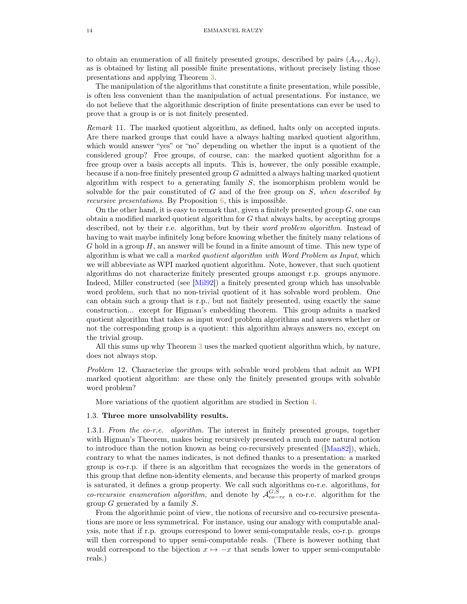<span id="page-13-1"></span>to obtain an enumeration of all finitely presented groups, described by pairs  $(A_{re}, A_{\mathcal{O}})$ , as is obtained by listing all possible finite presentations, without precisely listing those presentations and applying Theorem [3.](#page-4-0)

The manipulation of the algorithms that constitute a finite presentation, while possible, is often less convenient than the manipulation of actual presentations. For instance, we do not believe that the algorithmic description of finite presentations can ever be used to prove that a group is or is not finitely presented.

Remark 11. The marked quotient algorithm, as defined, halts only on accepted inputs. Are there marked groups that could have a always halting marked quotient algorithm, which would answer "yes" or "no" depending on whether the input is a quotient of the considered group? Free groups, of course, can: the marked quotient algorithm for a free group over a basis accepts all inputs. This is, however, the only possible example, because if a non-free finitely presented group  $G$  admitted a always halting marked quotient algorithm with respect to a generating family S, the isomorphism problem would be solvable for the pair constituted of  $G$  and of the free group on  $S$ , when described by recursive presentations. By Proposition [6,](#page-10-0) this is impossible.

On the other hand, it is easy to remark that, given a finitely presented group  $G$ , one can obtain a modified marked quotient algorithm for G that always halts, by accepting groups described, not by their r.e. algorithm, but by their word problem algorithm. Instead of having to wait maybe infinitely long before knowing whether the finitely many relations of  $G$  hold in a group  $H$ , an answer will be found in a finite amount of time. This new type of algorithm is what we call a marked quotient algorithm with Word Problem as Input, which we will abbreviate as WPI marked quotient algorithm. Note, however, that such quotient algorithms do not characterize finitely presented groups amongst r.p. groups anymore. Indeed, Miller constructed (see [\[Mil92\]](#page-30-5)) a finitely presented group which has unsolvable word problem, such that no non-trivial quotient of it has solvable word problem. One can obtain such a group that is r.p., but not finitely presented, using exactly the same construction... except for Higman's embedding theorem. This group admits a marked quotient algorithm that takes as input word problem algorithms and answers whether or not the corresponding group is a quotient: this algorithm always answers no, except on the trivial group.

All this sums up why Theorem [3](#page-4-0) uses the marked quotient algorithm which, by nature, does not always stop.

Problem 12. Characterize the groups with solvable word problem that admit an WPI marked quotient algorithm: are these only the finitely presented groups with solvable word problem?

More variations of the quotient algorithm are studied in Section [4.](#page-23-0)

#### <span id="page-13-0"></span>1.3. Three more unsolvability results.

1.3.1. From the co-r.e. algorithm. The interest in finitely presented groups, together with Higman's Theorem, makes being recursively presented a much more natural notion to introduce than the notion known as being co-recursively presented ([\[Man82\]](#page-30-15)), which, contrary to what the names indicates, is not defined thanks to a presentation: a marked group is co-r.p. if there is an algorithm that recognizes the words in the generators of this group that define non-identity elements, and because this property of marked groups is saturated, it defines a group property. We call such algorithms co-r.e. algorithms, for co-recursive enumeration algorithm, and denote by  $\mathcal{A}_{co-re}^{G,S}$  a co-r.e. algorithm for the group  $G$  generated by a family  $S$ .

From the algorithmic point of view, the notions of recursive and co-recursive presentations are more or less symmetrical. For instance, using our analogy with computable analysis, note that if r.p. groups correspond to lower semi-computable reals, co-r.p. groups will then correspond to upper semi-computable reals. (There is however nothing that would correspond to the bijection  $x \mapsto -x$  that sends lower to upper semi-computable reals.)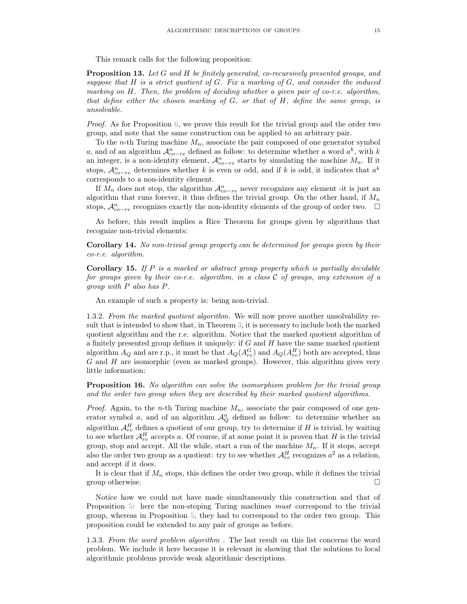This remark calls for the following proposition:

**Proposition 13.** Let G and H be finitely generated, co-recursively presented groups, and suppose that  $H$  is a strict quotient of  $G$ . Fix a marking of  $G$ , and consider the induced marking on  $H$ . Then, the problem of deciding whether a given pair of co-r.e. algorithm, that define either the chosen marking of  $G$ , or that of  $H$ , define the same group, is unsolvable.

*Proof.* As for Proposition  $6$ , we prove this result for the trivial group and the order two group, and note that the same construction can be applied to an arbitrary pair.

To the *n*-th Turing machine  $M_n$ , associate the pair composed of one generator symbol a, and of an algorithm  $\mathcal{A}^n_{co-re}$  defined as follow: to determine whether a word  $a^k$ , with k an integer, is a non-identity element,  $\mathcal{A}_{co-re}^{n}$  starts by simulating the machine  $M_{n}$ . If it stops,  $\mathcal{A}^n_{co-re}$  determines whether k is even or odd, and if k is odd, it indicates that  $a^k$ corresponds to a non-identity element.

If  $M_n$  does not stop, the algorithm  $\mathcal{A}_{co-re}^n$  never recognizes any element -it is just an algorithm that runs forever, it thus defines the trivial group. On the other hand, if  $M_n$ stops,  $\mathcal{A}^n_{co-re}$  recognizes exactly the non-identity elements of the group of order two.  $\Box$ 

As before, this result implies a Rice Theorem for groups given by algorithms that recognize non-trivial elements:

Corollary 14. No non-trivial group property can be determined for groups given by their co-r.e. algorithm.

**Corollary 15.** If  $P$  is a marked or abstract group property which is partially decidable for groups given by their co-r.e. algorithm, in a class C of groups, any extension of a group with P also has P.

An example of such a property is: being non-trivial.

1.3.2. From the marked quotient algorithm. We will now prove another unsolvability result that is intended to show that, in Theorem [3,](#page-4-0) it is necessary to include both the marked quotient algorithm and the r.e. algorithm. Notice that the marked quotient algorithm of a finitely presented group defines it uniquely: if  $G$  and  $H$  have the same marked quotient algorithm  $A_Q$  and are r.p., it must be that  $A_Q(A_{re}^G)$  and  $A_Q(A_{re}^H)$  both are accepted, thus  $G$  and  $H$  are isomorphic (even as marked groups). However, this algorithm gives very little information:

**Proposition 16.** No algorithm can solve the isomorphism problem for the trivial group and the order two group when they are described by their marked quotient algorithms.

*Proof.* Again, to the *n*-th Turing machine  $M_n$ , associate the pair composed of one generator symbol a, and of an algorithm  $\mathcal{A}_{Q}^{n}$  defined as follow: to determine whether an algorithm  $\mathcal{A}_{re}^H$  defines a quotient of our group, try to determine if H is trivial, by waiting to see whether  $\mathcal{A}_{re}^H$  accepts a. Of course, if at some point it is proven that H is the trivial group, stop and accept. All the while, start a run of the machine  $M_n$ . If it stops, accept also the order two group as a quotient: try to see whether  $\mathcal{A}_{re}^{H}$  recognizes  $a^2$  as a relation, and accept if it does.

It is clear that if  $M_n$  stops, this defines the order two group, while it defines the trivial group otherwise.  $\Box$ 

Notice how we could not have made simultaneously this construction and that of Proposition [5:](#page-9-2) here the non-stoping Turing machines must correspond to the trivial group, whereas in Proposition [5,](#page-9-2) they had to correspond to the order two group. This proposition could be extended to any pair of groups as before.

<span id="page-14-0"></span>1.3.3. From the word problem algorithm . The last result on this list concerns the word problem. We include it here because it is relevant in showing that the solutions to local algorithmic problems provide weak algorithmic descriptions.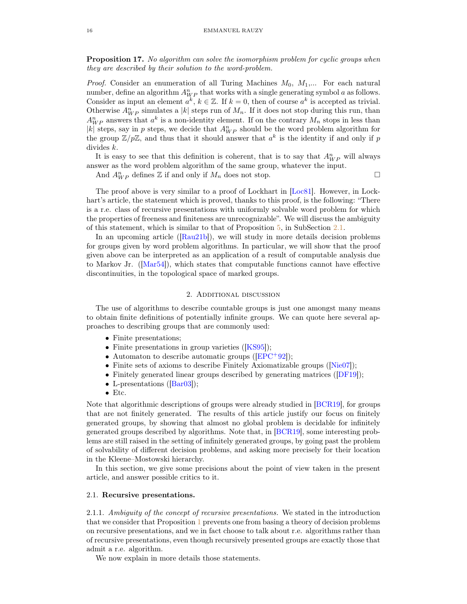<span id="page-15-3"></span><span id="page-15-2"></span>**Proposition 17.** No algorithm can solve the isomorphism problem for cyclic groups when they are described by their solution to the word-problem.

*Proof.* Consider an enumeration of all Turing Machines  $M_0, M_1,...$  For each natural number, define an algorithm  $A_{WP}^n$  that works with a single generating symbol a as follows. Consider as input an element  $a^k$ ,  $k \in \mathbb{Z}$ . If  $k = 0$ , then of course  $a^k$  is accepted as trivial. Otherwise  $A_{WP}^n$  simulates a |k| steps run of  $M_n$ . If it does not stop during this run, than  $A_{WP}^n$  answers that  $a^k$  is a non-identity element. If on the contrary  $M_n$  stops in less than |k| steps, say in p steps, we decide that  $A_{WP}^n$  should be the word problem algorithm for the group  $\mathbb{Z}/p\mathbb{Z}$ , and thus that it should answer that  $a^k$  is the identity if and only if p divides k.

It is easy to see that this definition is coherent, that is to say that  $A_{WP}^n$  will always answer as the word problem algorithm of the same group, whatever the input.

And  $A_{WP}^n$  defines  $\mathbb Z$  if and only if  $M_n$  does not stop.  $\Box$ 

The proof above is very similar to a proof of Lockhart in [\[Loc81\]](#page-30-6). However, in Lockhart's article, the statement which is proved, thanks to this proof, is the following: "There is a r.e. class of recursive presentations with uniformly solvable word problem for which the properties of freeness and finiteness are unrecognizable". We will discuss the ambiguity of this statement, which is similar to that of Proposition [5,](#page-9-2) in SubSection [2.1.](#page-15-1)

In an upcoming article ([\[Rau21b\]](#page-30-16)), we will study in more details decision problems for groups given by word problem algorithms. In particular, we will show that the proof given above can be interpreted as an application of a result of computable analysis due to Markov Jr. ([\[Mar54\]](#page-30-17)), which states that computable functions cannot have effective discontinuities, in the topological space of marked groups.

### 2. Additional discussion

<span id="page-15-0"></span>The use of algorithms to describe countable groups is just one amongst many means to obtain finite definitions of potentially infinite groups. We can quote here several approaches to describing groups that are commonly used:

- Finite presentations;
- Finite presentations in group varieties ([\[KS95\]](#page-30-18));
- Automaton to describe automatic groups ( $[EPC+92]$  $[EPC+92]$ );
- Finite sets of axioms to describe Finitely Axiomatizable groups ( $[Nie07]$ );
- Finitely generated linear groups described by generating matrices ([\[DF19\]](#page-29-12));
- L-presentations ([\[Bar03\]](#page-29-13));
- Etc.

Note that algorithmic descriptions of groups were already studied in [\[BCR19\]](#page-29-14), for groups that are not finitely generated. The results of this article justify our focus on finitely generated groups, by showing that almost no global problem is decidable for infinitely generated groups described by algorithms. Note that, in [\[BCR19\]](#page-29-14), some interesting problems are still raised in the setting of infinitely generated groups, by going past the problem of solvability of different decision problems, and asking more precisely for their location in the Kleene–Mostowski hierarchy.

In this section, we give some precisions about the point of view taken in the present article, and answer possible critics to it.

### <span id="page-15-1"></span>2.1. Recursive presentations.

2.1.1. Ambiguity of the concept of recursive presentations. We stated in the introduction that we consider that Proposition [1](#page-3-0) prevents one from basing a theory of decision problems on recursive presentations, and we in fact choose to talk about r.e. algorithms rather than of recursive presentations, even though recursively presented groups are exactly those that admit a r.e. algorithm.

We now explain in more details those statements.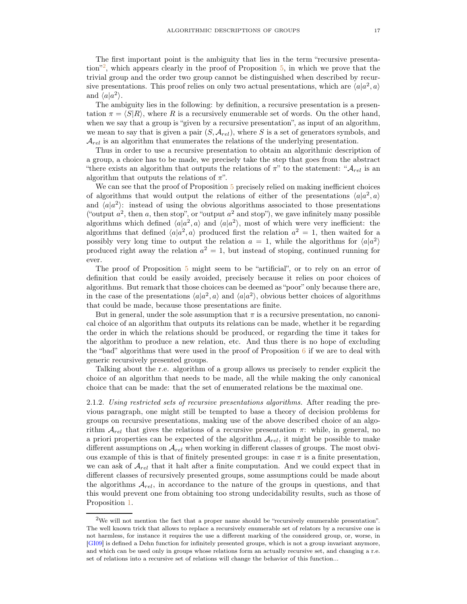<span id="page-16-1"></span>The first important point is the ambiguity that lies in the term "recursive presentation"[2](#page-16-0) , which appears clearly in the proof of Proposition [5,](#page-9-2) in which we prove that the trivial group and the order two group cannot be distinguished when described by recursive presentations. This proof relies on only two actual presentations, which are  $\langle a|a^2, a \rangle$ and  $\langle a|a^2\rangle$ .

The ambiguity lies in the following: by definition, a recursive presentation is a presentation  $\pi = \langle S|R\rangle$ , where R is a recursively enumerable set of words. On the other hand, when we say that a group is "given by a recursive presentation", as input of an algorithm, we mean to say that is given a pair  $(S, \mathcal{A}_{rel})$ , where S is a set of generators symbols, and  $\mathcal{A}_{rel}$  is an algorithm that enumerates the relations of the underlying presentation.

Thus in order to use a recursive presentation to obtain an algorithmic description of a group, a choice has to be made, we precisely take the step that goes from the abstract "there exists an algorithm that outputs the relations of  $\pi$ " to the statement: " $\mathcal{A}_{rel}$  is an algorithm that outputs the relations of  $\pi$ ".

We can see that the proof of Proposition [5](#page-9-2) precisely relied on making inefficient choices of algorithms that would output the relations of either of the presentations  $\langle a|a^2, a \rangle$ and  $\langle a|a^2 \rangle$ : instead of using the obvious algorithms associated to those presentations ("output  $a^2$ , then a, then stop", or "output  $a^2$  and stop"), we gave infinitely many possible algorithms which defined  $\langle a|a^2, a \rangle$  and  $\langle a|a^2 \rangle$ , most of which were very inefficient: the algorithms that defined  $\langle a|a^2, a \rangle$  produced first the relation  $a^2 = 1$ , then waited for a possibly very long time to output the relation  $a = 1$ , while the algorithms for  $\langle a|a^2 \rangle$ produced right away the relation  $a^2 = 1$ , but instead of stoping, continued running for ever.

The proof of Proposition [5](#page-9-2) might seem to be "artificial", or to rely on an error of definition that could be easily avoided, precisely because it relies on poor choices of algorithms. But remark that those choices can be deemed as "poor" only because there are, in the case of the presentations  $\langle a|a^2, a \rangle$  and  $\langle a|a^2 \rangle$ , obvious better choices of algorithms that could be made, because those presentations are finite.

But in general, under the sole assumption that  $\pi$  is a recursive presentation, no canonical choice of an algorithm that outputs its relations can be made, whether it be regarding the order in which the relations should be produced, or regarding the time it takes for the algorithm to produce a new relation, etc. And thus there is no hope of excluding the "bad" algorithms that were used in the proof of Proposition  $6$  if we are to deal with generic recursively presented groups.

Talking about the r.e. algorithm of a group allows us precisely to render explicit the choice of an algorithm that needs to be made, all the while making the only canonical choice that can be made: that the set of enumerated relations be the maximal one.

2.1.2. Using restricted sets of recursive presentations algorithms. After reading the previous paragraph, one might still be tempted to base a theory of decision problems for groups on recursive presentations, making use of the above described choice of an algorithm  $\mathcal{A}_{rel}$  that gives the relations of a recursive presentation  $\pi$ : while, in general, no a priori properties can be expected of the algorithm  $\mathcal{A}_{rel}$ , it might be possible to make different assumptions on  $\mathcal{A}_{rel}$  when working in different classes of groups. The most obvious example of this is that of finitely presented groups: in case  $\pi$  is a finite presentation, we can ask of  $\mathcal{A}_{rel}$  that it halt after a finite computation. And we could expect that in different classes of recursively presented groups, some assumptions could be made about the algorithms  $A_{rel}$ , in accordance to the nature of the groups in questions, and that this would prevent one from obtaining too strong undecidability results, such as those of Proposition [1.](#page-3-0)

<span id="page-16-0"></span><sup>&</sup>lt;sup>2</sup>We will not mention the fact that a proper name should be "recursively enumerable presentation". The well known trick that allows to replace a recursively enumerable set of relators by a recursive one is not harmless, for instance it requires the use a different marking of the considered group, or, worse, in [\[GI09\]](#page-29-15) is defined a Dehn function for infinitely presented groups, which is not a group invariant anymore, and which can be used only in groups whose relations form an actually recursive set, and changing a r.e. set of relations into a recursive set of relations will change the behavior of this function...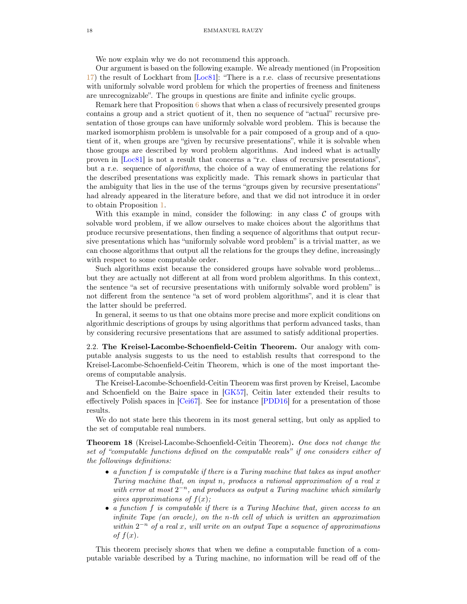<span id="page-17-1"></span>We now explain why we do not recommend this approach.

Our argument is based on the following example. We already mentioned (in Proposition [17\)](#page-15-2) the result of Lockhart from [\[Loc81\]](#page-30-6): "There is a r.e. class of recursive presentations with uniformly solvable word problem for which the properties of freeness and finiteness are unrecognizable". The groups in questions are finite and infinite cyclic groups.

Remark here that Proposition [6](#page-10-0) shows that when a class of recursively presented groups contains a group and a strict quotient of it, then no sequence of "actual" recursive presentation of those groups can have uniformly solvable word problem. This is because the marked isomorphism problem is unsolvable for a pair composed of a group and of a quotient of it, when groups are "given by recursive presentations", while it is solvable when those groups are described by word problem algorithms. And indeed what is actually proven in [\[Loc81\]](#page-30-6) is not a result that concerns a "r.e. class of recursive presentations", but a r.e. sequence of algorithms, the choice of a way of enumerating the relations for the described presentations was explicitly made. This remark shows in particular that the ambiguity that lies in the use of the terms "groups given by recursive presentations" had already appeared in the literature before, and that we did not introduce it in order to obtain Proposition [1.](#page-3-0)

With this example in mind, consider the following: in any class  $C$  of groups with solvable word problem, if we allow ourselves to make choices about the algorithms that produce recursive presentations, then finding a sequence of algorithms that output recursive presentations which has "uniformly solvable word problem" is a trivial matter, as we can choose algorithms that output all the relations for the groups they define, increasingly with respect to some computable order.

Such algorithms exist because the considered groups have solvable word problems... but they are actually not different at all from word problem algorithms. In this context, the sentence "a set of recursive presentations with uniformly solvable word problem" is not different from the sentence "a set of word problem algorithms", and it is clear that the latter should be preferred.

In general, it seems to us that one obtains more precise and more explicit conditions on algorithmic descriptions of groups by using algorithms that perform advanced tasks, than by considering recursive presentations that are assumed to satisfy additional properties.

<span id="page-17-0"></span>2.2. The Kreisel-Lacombe-Schoenfield-Ceitin Theorem. Our analogy with computable analysis suggests to us the need to establish results that correspond to the Kreisel-Lacombe-Schoenfield-Ceitin Theorem, which is one of the most important theorems of computable analysis.

The Kreisel-Lacombe-Schoenfield-Ceitin Theorem was first proven by Kreisel, Lacombe and Schoenfield on the Baire space in [\[GK57\]](#page-29-16), Ceitin later extended their results to effectively Polish spaces in [\[Cei67\]](#page-29-17). See for instance [\[PDD16\]](#page-30-20) for a presentation of those results.

We do not state here this theorem in its most general setting, but only as applied to the set of computable real numbers.

Theorem 18 (Kreisel-Lacombe-Schoenfield-Ceitin Theorem). One does not change the set of "computable functions defined on the computable reals" if one considers either of the followings definitions:

- a function f is computable if there is a Turing machine that takes as input another Turing machine that, on input n, produces a rational approximation of a real x with error at most  $2^{-n}$ , and produces as output a Turing machine which similarly gives approximations of  $f(x)$ ;
- a function f is computable if there is a Turing Machine that, given access to an infinite Tape (an oracle), on the n-th cell of which is written an approximation within  $2^{-n}$  of a real x, will write on an output Tape a sequence of approximations of  $f(x)$ .

This theorem precisely shows that when we define a computable function of a computable variable described by a Turing machine, no information will be read off of the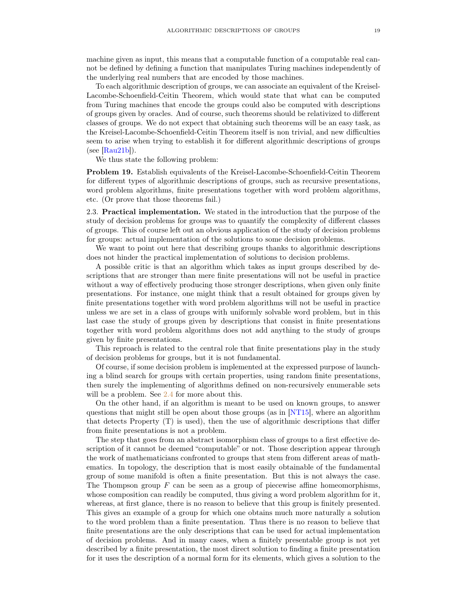<span id="page-18-1"></span>machine given as input, this means that a computable function of a computable real cannot be defined by defining a function that manipulates Turing machines independently of the underlying real numbers that are encoded by those machines.

To each algorithmic description of groups, we can associate an equivalent of the Kreisel-Lacombe-Schoenfield-Ceitin Theorem, which would state that what can be computed from Turing machines that encode the groups could also be computed with descriptions of groups given by oracles. And of course, such theorems should be relativized to different classes of groups. We do not expect that obtaining such theorems will be an easy task, as the Kreisel-Lacombe-Schoenfield-Ceitin Theorem itself is non trivial, and new difficulties seem to arise when trying to establish it for different algorithmic descriptions of groups  $(see [Rau21b]).$  $(see [Rau21b]).$  $(see [Rau21b]).$ 

We thus state the following problem:

Problem 19. Establish equivalents of the Kreisel-Lacombe-Schoenfield-Ceitin Theorem for different types of algorithmic descriptions of groups, such as recursive presentations, word problem algorithms, finite presentations together with word problem algorithms, etc. (Or prove that those theorems fail.)

<span id="page-18-0"></span>2.3. Practical implementation. We stated in the introduction that the purpose of the study of decision problems for groups was to quantify the complexity of different classes of groups. This of course left out an obvious application of the study of decision problems for groups: actual implementation of the solutions to some decision problems.

We want to point out here that describing groups thanks to algorithmic descriptions does not hinder the practical implementation of solutions to decision problems.

A possible critic is that an algorithm which takes as input groups described by descriptions that are stronger than mere finite presentations will not be useful in practice without a way of effectively producing those stronger descriptions, when given only finite presentations. For instance, one might think that a result obtained for groups given by finite presentations together with word problem algorithms will not be useful in practice unless we are set in a class of groups with uniformly solvable word problem, but in this last case the study of groups given by descriptions that consist in finite presentations together with word problem algorithms does not add anything to the study of groups given by finite presentations.

This reproach is related to the central role that finite presentations play in the study of decision problems for groups, but it is not fundamental.

Of course, if some decision problem is implemented at the expressed purpose of launching a blind search for groups with certain properties, using random finite presentations, then surely the implementing of algorithms defined on non-recursively enumerable sets will be a problem. See [2.4](#page-19-0) for more about this.

On the other hand, if an algorithm is meant to be used on known groups, to answer questions that might still be open about those groups (as in [\[NT15\]](#page-30-21), where an algorithm that detects Property (T) is used), then the use of algorithmic descriptions that differ from finite presentations is not a problem.

The step that goes from an abstract isomorphism class of groups to a first effective description of it cannot be deemed "computable" or not. Those description appear through the work of mathematicians confronted to groups that stem from different areas of mathematics. In topology, the description that is most easily obtainable of the fundamental group of some manifold is often a finite presentation. But this is not always the case. The Thompson group  $F$  can be seen as a group of piecewise affine homeomorphisms, whose composition can readily be computed, thus giving a word problem algorithm for it, whereas, at first glance, there is no reason to believe that this group is finitely presented. This gives an example of a group for which one obtains much more naturally a solution to the word problem than a finite presentation. Thus there is no reason to believe that finite presentations are the only descriptions that can be used for actual implementation of decision problems. And in many cases, when a finitely presentable group is not yet described by a finite presentation, the most direct solution to finding a finite presentation for it uses the description of a normal form for its elements, which gives a solution to the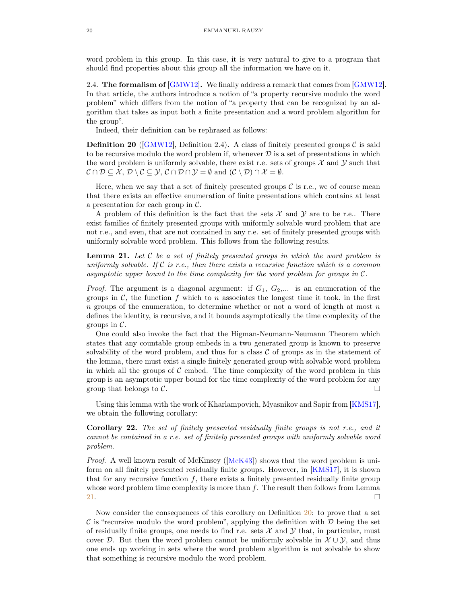<span id="page-19-3"></span>word problem in this group. In this case, it is very natural to give to a program that should find properties about this group all the information we have on it.

<span id="page-19-0"></span>2.4. The formalism of  $[GMW12]$ . We finally address a remark that comes from  $[GMW12]$ . In that article, the authors introduce a notion of "a property recursive modulo the word problem" which differs from the notion of "a property that can be recognized by an algorithm that takes as input both a finite presentation and a word problem algorithm for the group".

Indeed, their definition can be rephrased as follows:

<span id="page-19-2"></span>**Definition 20** ([\[GMW12\]](#page-30-0), Definition 2.4). A class of finitely presented groups  $\mathcal{C}$  is said to be recursive modulo the word problem if, whenever  $D$  is a set of presentations in which the word problem is uniformly solvable, there exist r.e. sets of groups  $\mathcal X$  and  $\mathcal Y$  such that  $\mathcal{C} \cap \mathcal{D} \subseteq \mathcal{X}, \mathcal{D} \setminus \mathcal{C} \subseteq \mathcal{Y}, \mathcal{C} \cap \mathcal{D} \cap \mathcal{Y} = \emptyset$  and  $(\mathcal{C} \setminus \mathcal{D}) \cap \mathcal{X} = \emptyset$ .

Here, when we say that a set of finitely presented groups  $\mathcal C$  is r.e., we of course mean that there exists an effective enumeration of finite presentations which contains at least a presentation for each group in C.

A problem of this definition is the fact that the sets  $\mathcal X$  and  $\mathcal Y$  are to be r.e.. There exist families of finitely presented groups with uniformly solvable word problem that are not r.e., and even, that are not contained in any r.e. set of finitely presented groups with uniformly solvable word problem. This follows from the following results.

<span id="page-19-1"></span>**Lemma 21.** Let  $C$  be a set of finitely presented groups in which the word problem is uniformly solvable. If  $\mathcal C$  is r.e., then there exists a recursive function which is a common asymptotic upper bound to the time complexity for the word problem for groups in C.

*Proof.* The argument is a diagonal argument: if  $G_1$ ,  $G_2$ ,... is an enumeration of the groups in  $\mathcal{C}$ , the function f which to n associates the longest time it took, in the first  $n$  groups of the enumeration, to determine whether or not a word of length at most  $n$ defines the identity, is recursive, and it bounds asymptotically the time complexity of the groups in  $\mathcal{C}$ .

One could also invoke the fact that the Higman-Neumann-Neumann Theorem which states that any countable group embeds in a two generated group is known to preserve solvability of the word problem, and thus for a class  $\mathcal C$  of groups as in the statement of the lemma, there must exist a single finitely generated group with solvable word problem in which all the groups of  $\mathcal C$  embed. The time complexity of the word problem in this group is an asymptotic upper bound for the time complexity of the word problem for any group that belongs to  $\mathcal{C}$ .

Using this lemma with the work of Kharlampovich, Myasnikov and Sapir from [\[KMS17\]](#page-30-22), we obtain the following corollary:

Corollary 22. The set of finitely presented residually finite groups is not r.e., and it cannot be contained in a r.e. set of finitely presented groups with uniformly solvable word problem.

*Proof.* A well known result of McKinsey  $([McK43])$  $([McK43])$  $([McK43])$  shows that the word problem is uniform on all finitely presented residually finite groups. However, in [\[KMS17\]](#page-30-22), it is shown that for any recursive function  $f$ , there exists a finitely presented residually finite group whose word problem time complexity is more than  $f$ . The result then follows from Lemma [21.](#page-19-1)  $\Box$ 

Now consider the consequences of this corollary on Definition [20:](#page-19-2) to prove that a set  $\mathcal C$  is "recursive modulo the word problem", applying the definition with  $\mathcal D$  being the set of residually finite groups, one needs to find r.e. sets  $\mathcal X$  and  $\mathcal Y$  that, in particular, must cover D. But then the word problem cannot be uniformly solvable in  $\mathcal{X} \cup \mathcal{Y}$ , and thus one ends up working in sets where the word problem algorithm is not solvable to show that something is recursive modulo the word problem.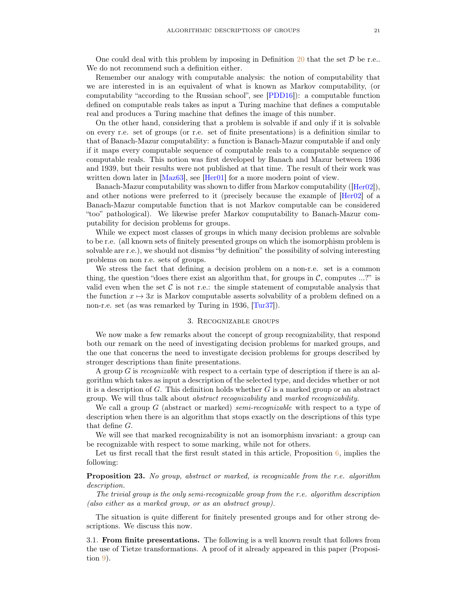<span id="page-20-2"></span>One could deal with this problem by imposing in Definition [20](#page-19-2) that the set  $D$  be r.e.. We do not recommend such a definition either.

Remember our analogy with computable analysis: the notion of computability that we are interested in is an equivalent of what is known as Markov computability, (or computability "according to the Russian school", see [\[PDD16\]](#page-30-20)): a computable function defined on computable reals takes as input a Turing machine that defines a computable real and produces a Turing machine that defines the image of this number.

On the other hand, considering that a problem is solvable if and only if it is solvable on every r.e. set of groups (or r.e. set of finite presentations) is a definition similar to that of Banach-Mazur computability: a function is Banach-Mazur computable if and only if it maps every computable sequence of computable reals to a computable sequence of computable reals. This notion was first developed by Banach and Mazur between 1936 and 1939, but their results were not published at that time. The result of their work was written down later in [\[Maz63\]](#page-30-23), see [\[Her01\]](#page-30-24) for a more modern point of view.

Banach-Mazur computability was shown to differ from Markov computability ([\[Her02\]](#page-30-25)), and other notions were preferred to it (precisely because the example of [\[Her02\]](#page-30-25) of a Banach-Mazur computable function that is not Markov computable can be considered "too" pathological). We likewise prefer Markov computability to Banach-Mazur computability for decision problems for groups.

While we expect most classes of groups in which many decision problems are solvable to be r.e. (all known sets of finitely presented groups on which the isomorphism problem is solvable are r.e.), we should not dismiss "by definition" the possibility of solving interesting problems on non r.e. sets of groups.

We stress the fact that defining a decision problem on a non-r.e. set is a common thing, the question "does there exist an algorithm that, for groups in  $\mathcal{C}$ , computes ...?" is valid even when the set  $\mathcal C$  is not r.e.: the simple statement of computable analysis that the function  $x \mapsto 3x$  is Markov computable asserts solvability of a problem defined on a non-r.e. set (as was remarked by Turing in 1936, [\[Tur37\]](#page-31-2)).

#### 3. Recognizable groups

<span id="page-20-0"></span>We now make a few remarks about the concept of group recognizability, that respond both our remark on the need of investigating decision problems for marked groups, and the one that concerns the need to investigate decision problems for groups described by stronger descriptions than finite presentations.

A group  $G$  is recognizable with respect to a certain type of description if there is an algorithm which takes as input a description of the selected type, and decides whether or not it is a description of  $G$ . This definition holds whether  $G$  is a marked group or an abstract group. We will thus talk about abstract recognizability and marked recognizability.

We call a group G (abstract or marked) semi-recognizable with respect to a type of description when there is an algorithm that stops exactly on the descriptions of this type that define G.

We will see that marked recognizability is not an isomorphism invariant: a group can be recognizable with respect to some marking, while not for others.

Let us first recall that the first result stated in this article, Proposition  $6$ , implies the following:

### **Proposition 23.** No group, abstract or marked, is recognizable from the r.e. algorithm description.

The trivial group is the only semi-recognizable group from the r.e. algorithm description (also either as a marked group, or as an abstract group).

The situation is quite different for finitely presented groups and for other strong descriptions. We discuss this now.

<span id="page-20-1"></span>3.1. From finite presentations. The following is a well known result that follows from the use of Tietze transformations. A proof of it already appeared in this paper (Proposition [9\)](#page-12-1).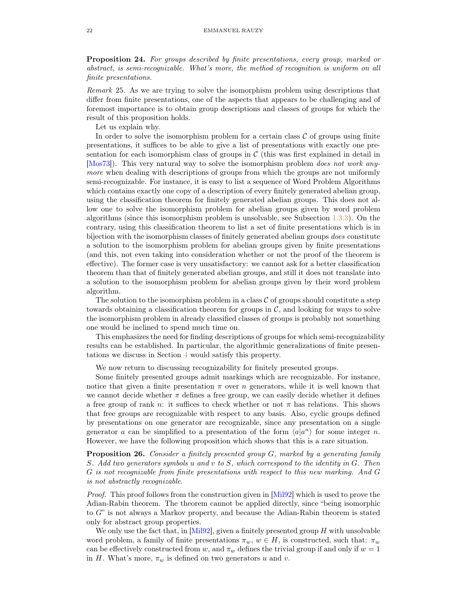<span id="page-21-1"></span>Proposition 24. For groups described by finite presentations, every group, marked or abstract, is semi-recognizable. What's more, the method of recognition is uniform on all finite presentations.

Remark 25. As we are trying to solve the isomorphism problem using descriptions that differ from finite presentations, one of the aspects that appears to be challenging and of foremost importance is to obtain group descriptions and classes of groups for which the result of this proposition holds.

Let us explain why.

In order to solve the isomorphism problem for a certain class  $\mathcal C$  of groups using finite presentations, it suffices to be able to give a list of presentations with exactly one presentation for each isomorphism class of groups in  $\mathcal C$  (this was first explained in detail in [\[Mos73\]](#page-30-26)). This very natural way to solve the isomorphism problem does not work anymore when dealing with descriptions of groups from which the groups are not uniformly semi-recognizable. For instance, it is easy to list a sequence of Word Problem Algorithms which contains exactly one copy of a description of every finitely generated abelian group, using the classification theorem for finitely generated abelian groups. This does not allow one to solve the isomorphism problem for abelian groups given by word problem algorithms (since this isomorphism problem is unsolvable, see Subsection [1.3.3\)](#page-14-0). On the contrary, using this classification theorem to list a set of finite presentations which is in bijection with the isomorphism classes of finitely generated abelian groups does constitute a solution to the isomorphism problem for abelian groups given by finite presentations (and this, not even taking into consideration whether or not the proof of the theorem is effective). The former case is very unsatisfactory: we cannot ask for a better classification theorem than that of finitely generated abelian groups, and still it does not translate into a solution to the isomorphism problem for abelian groups given by their word problem algorithm.

The solution to the isomorphism problem in a class  $\mathcal C$  of groups should constitute a step towards obtaining a classification theorem for groups in  $C$ , and looking for ways to solve the isomorphism problem in already classified classes of groups is probably not something one would be inclined to spend much time on.

This emphasizes the need for finding descriptions of groups for which semi-recognizability results can be established. In particular, the algorithmic generalizations of finite presentations we discuss in Section [4](#page-23-0) would satisfy this property.

We now return to discussing recognizability for finitely presented groups.

Some finitely presented groups admit markings which are recognizable. For instance, notice that given a finite presentation  $\pi$  over n generators, while it is well known that we cannot decide whether  $\pi$  defines a free group, we can easily decide whether it defines a free group of rank n: it suffices to check whether or not  $\pi$  has relations. This shows that free groups are recognizable with respect to any basis. Also, cyclic groups defined by presentations on one generator are recognizable, since any presentation on a single generator a can be simplified to a presentation of the form  $\langle a|a^n \rangle$  for some integer n. However, we have the following proposition which shows that this is a rare situation.

<span id="page-21-0"></span>Proposition 26. Consider a finitely presented group G, marked by a generating family S. Add two generators symbols u and v to S, which correspond to the identity in G. Then G is not recognizable from finite presentations with respect to this new marking. And G is not abstractly recognizable.

Proof. This proof follows from the construction given in [\[Mil92\]](#page-30-5) which is used to prove the Adian-Rabin theorem. The theorem cannot be applied directly, since "being isomorphic to G" is not always a Markov property, and because the Adian-Rabin theorem is stated only for abstract group properties.

We only use the fact that, in  $[Mil92]$ , given a finitely presented group H with unsolvable word problem, a family of finite presentations  $\pi_w, w \in H$ , is constructed, such that:  $\pi_w$ can be effectively constructed from w, and  $\pi_w$  defines the trivial group if and only if  $w = 1$ in H. What's more,  $\pi_w$  is defined on two generators u and v.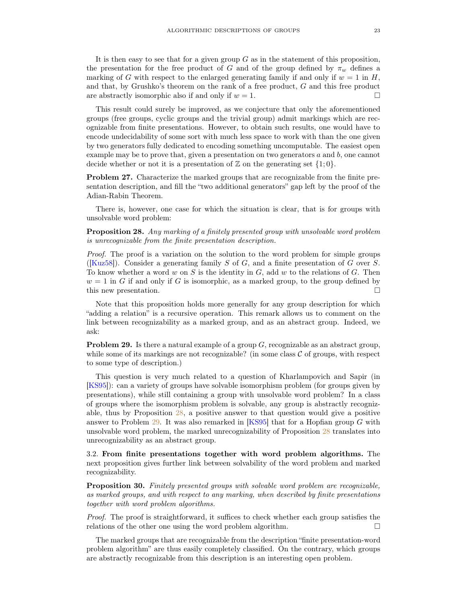<span id="page-22-3"></span>It is then easy to see that for a given group  $G$  as in the statement of this proposition, the presentation for the free product of G and of the group defined by  $\pi_w$  defines a marking of G with respect to the enlarged generating family if and only if  $w = 1$  in H, and that, by Grushko's theorem on the rank of a free product, G and this free product are abstractly isomorphic also if and only if  $w = 1$ .

This result could surely be improved, as we conjecture that only the aforementioned groups (free groups, cyclic groups and the trivial group) admit markings which are recognizable from finite presentations. However, to obtain such results, one would have to encode undecidability of some sort with much less space to work with than the one given by two generators fully dedicated to encoding something uncomputable. The easiest open example may be to prove that, given a presentation on two generators  $a$  and  $b$ , one cannot decide whether or not it is a presentation of  $\mathbb Z$  on the generating set  $\{1;0\}$ .

Problem 27. Characterize the marked groups that are recognizable from the finite presentation description, and fill the "two additional generators" gap left by the proof of the Adian-Rabin Theorem.

There is, however, one case for which the situation is clear, that is for groups with unsolvable word problem:

<span id="page-22-1"></span>Proposition 28. Any marking of a finitely presented group with unsolvable word problem is unrecognizable from the finite presentation description.

Proof. The proof is a variation on the solution to the word problem for simple groups ([\[Kuz58\]](#page-30-13)). Consider a generating family  $S$  of  $G$ , and a finite presentation of  $G$  over  $S$ . To know whether a word w on S is the identity in  $G$ , add w to the relations of  $G$ . Then  $w = 1$  in G if and only if G is isomorphic, as a marked group, to the group defined by this new presentation.

Note that this proposition holds more generally for any group description for which "adding a relation" is a recursive operation. This remark allows us to comment on the link between recognizability as a marked group, and as an abstract group. Indeed, we ask:

<span id="page-22-2"></span>**Problem 29.** Is there a natural example of a group  $G$ , recognizable as an abstract group, while some of its markings are not recognizable? (in some class  $\mathcal C$  of groups, with respect to some type of description.)

This question is very much related to a question of Kharlampovich and Sapir (in [\[KS95\]](#page-30-18)): can a variety of groups have solvable isomorphism problem (for groups given by presentations), while still containing a group with unsolvable word problem? In a class of groups where the isomorphism problem is solvable, any group is abstractly recognizable, thus by Proposition [28,](#page-22-1) a positive answer to that question would give a positive answer to Problem [29.](#page-22-2) It was also remarked in  $[KS95]$  that for a Hopfian group G with unsolvable word problem, the marked unrecognizability of Proposition [28](#page-22-1) translates into unrecognizability as an abstract group.

<span id="page-22-0"></span>3.2. From finite presentations together with word problem algorithms. The next proposition gives further link between solvability of the word problem and marked recognizability.

Proposition 30. Finitely presented groups with solvable word problem are recognizable, as marked groups, and with respect to any marking, when described by finite presentations together with word problem algorithms.

Proof. The proof is straightforward, it suffices to check whether each group satisfies the relations of the other one using the word problem algorithm.

The marked groups that are recognizable from the description "finite presentation-word problem algorithm" are thus easily completely classified. On the contrary, which groups are abstractly recognizable from this description is an interesting open problem.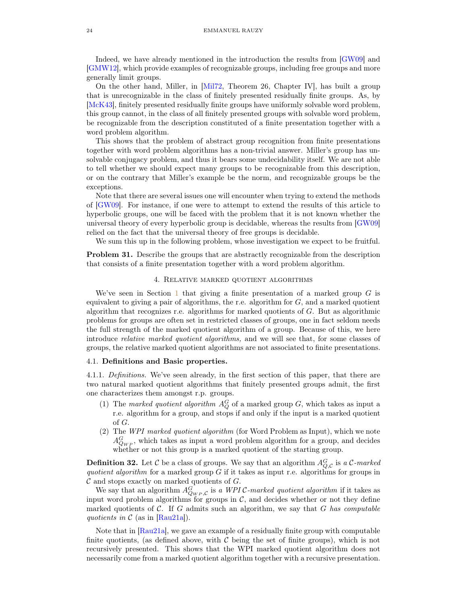<span id="page-23-3"></span>Indeed, we have already mentioned in the introduction the results from [\[GW09\]](#page-30-7) and [\[GMW12\]](#page-30-0), which provide examples of recognizable groups, including free groups and more generally limit groups.

On the other hand, Miller, in [\[Mil72,](#page-30-9) Theorem 26, Chapter IV], has built a group that is unrecognizable in the class of finitely presented residually finite groups. As, by [\[McK43\]](#page-30-10), finitely presented residually finite groups have uniformly solvable word problem, this group cannot, in the class of all finitely presented groups with solvable word problem, be recognizable from the description constituted of a finite presentation together with a word problem algorithm.

This shows that the problem of abstract group recognition from finite presentations together with word problem algorithms has a non-trivial answer. Miller's group has unsolvable conjugacy problem, and thus it bears some undecidability itself. We are not able to tell whether we should expect many groups to be recognizable from this description, or on the contrary that Miller's example be the norm, and recognizable groups be the exceptions.

Note that there are several issues one will encounter when trying to extend the methods of [\[GW09\]](#page-30-7). For instance, if one were to attempt to extend the results of this article to hyperbolic groups, one will be faced with the problem that it is not known whether the universal theory of every hyperbolic group is decidable, whereas the results from [\[GW09\]](#page-30-7) relied on the fact that the universal theory of free groups is decidable.

We sum this up in the following problem, whose investigation we expect to be fruitful.

<span id="page-23-0"></span>Problem 31. Describe the groups that are abstractly recognizable from the description that consists of a finite presentation together with a word problem algorithm.

### 4. Relative marked quotient algorithms

We've seen in Section [1](#page-9-0) that giving a finite presentation of a marked group  $G$  is equivalent to giving a pair of algorithms, the r.e. algorithm for  $G$ , and a marked quotient algorithm that recognizes r.e. algorithms for marked quotients of G. But as algorithmic problems for groups are often set in restricted classes of groups, one in fact seldom needs the full strength of the marked quotient algorithm of a group. Because of this, we here introduce relative marked quotient algorithms, and we will see that, for some classes of groups, the relative marked quotient algorithms are not associated to finite presentations.

### <span id="page-23-1"></span>4.1. Definitions and Basic properties.

4.1.1. Definitions. We've seen already, in the first section of this paper, that there are two natural marked quotient algorithms that finitely presented groups admit, the first one characterizes them amongst r.p. groups.

- (1) The marked quotient algorithm  $A_Q^G$  of a marked group G, which takes as input a r.e. algorithm for a group, and stops if and only if the input is a marked quotient of G.
- (2) The WPI marked quotient algorithm (for Word Problem as Input), which we note  $A_{Q_{WP}}^G$ , which takes as input a word problem algorithm for a group, and decides whether or not this group is a marked quotient of the starting group.

<span id="page-23-2"></span>**Definition 32.** Let C be a class of groups. We say that an algorithm  $A_{Q,C}^G$  is a C-marked quotient algorithm for a marked group  $G$  if it takes as input r.e. algorithms for groups in  $\mathcal C$  and stops exactly on marked quotients of  $G$ .

We say that an algorithm  $A_{Q_{WP},C}^G$  is a WPIC-marked quotient algorithm if it takes as input word problem algorithms for groups in  $\mathcal{C}$ , and decides whether or not they define marked quotients of  $\mathcal C$ . If G admits such an algorithm, we say that G has computable quotients in  $\mathcal C$  (as in [\[Rau21a\]](#page-30-27)).

Note that in [\[Rau21a\]](#page-30-27), we gave an example of a residually finite group with computable finite quotients, (as defined above, with  $\mathcal C$  being the set of finite groups), which is not recursively presented. This shows that the WPI marked quotient algorithm does not necessarily come from a marked quotient algorithm together with a recursive presentation.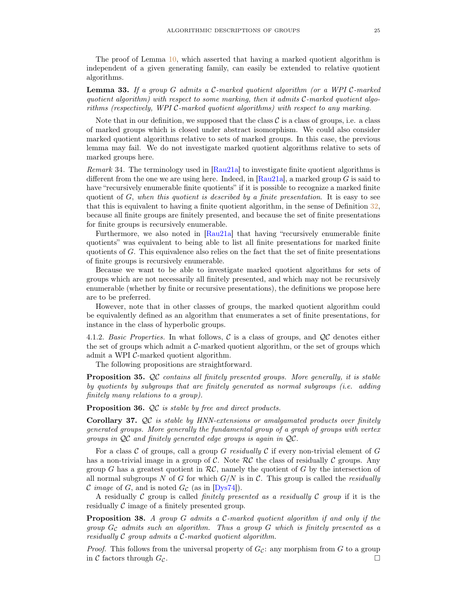<span id="page-24-0"></span>The proof of Lemma [10,](#page-12-0) which asserted that having a marked quotient algorithm is independent of a given generating family, can easily be extended to relative quotient algorithms.

Lemma 33. If a group G admits a C-marked quotient algorithm (or a WPI C-marked quotient algorithm) with respect to some marking, then it admits  $C$ -marked quotient algorithms (respectively, WPI C-marked quotient algorithms) with respect to any marking.

Note that in our definition, we supposed that the class  $\mathcal C$  is a class of groups, i.e. a class of marked groups which is closed under abstract isomorphism. We could also consider marked quotient algorithms relative to sets of marked groups. In this case, the previous lemma may fail. We do not investigate marked quotient algorithms relative to sets of marked groups here.

Remark 34. The terminology used in [\[Rau21a\]](#page-30-27) to investigate finite quotient algorithms is different from the one we are using here. Indeed, in  $Rau21a$ , a marked group G is said to have "recursively enumerable finite quotients" if it is possible to recognize a marked finite quotient of  $G$ , when this quotient is described by a finite presentation. It is easy to see that this is equivalent to having a finite quotient algorithm, in the sense of Definition [32,](#page-23-2) because all finite groups are finitely presented, and because the set of finite presentations for finite groups is recursively enumerable.

Furthermore, we also noted in [\[Rau21a\]](#page-30-27) that having "recursively enumerable finite quotients" was equivalent to being able to list all finite presentations for marked finite quotients of  $G$ . This equivalence also relies on the fact that the set of finite presentations of finite groups is recursively enumerable.

Because we want to be able to investigate marked quotient algorithms for sets of groups which are not necessarily all finitely presented, and which may not be recursively enumerable (whether by finite or recursive presentations), the definitions we propose here are to be preferred.

However, note that in other classes of groups, the marked quotient algorithm could be equivalently defined as an algorithm that enumerates a set of finite presentations, for instance in the class of hyperbolic groups.

4.1.2. Basic Properties. In what follows,  $\mathcal C$  is a class of groups, and  $\mathcal Q\mathcal C$  denotes either the set of groups which admit a  $\mathcal{C}\text{-marked quotient algorithm}$ , or the set of groups which admit a WPI C-marked quotient algorithm.

The following propositions are straightforward.

Proposition 35. QC contains all finitely presented groups. More generally, it is stable by quotients by subgroups that are finitely generated as normal subgroups (i.e. adding finitely many relations to a group).

Proposition 36. QC is stable by free and direct products.

**Corollary 37.**  $QC$  is stable by HNN-extensions or amalgamated products over finitely generated groups. More generally the fundamental group of a graph of groups with vertex groups in  $\mathcal{Q}C$  and finitely generated edge groups is again in  $\mathcal{Q}C$ .

For a class C of groups, call a group G residually C if every non-trivial element of G has a non-trivial image in a group of C. Note  $RC$  the class of residually C groups. Any group G has a greatest quotient in  $RC$ , namely the quotient of G by the intersection of all normal subgroups N of G for which  $G/N$  is in C. This group is called the *residually* C image of G, and is noted  $G_{\mathcal{C}}$  (as in [\[Dys74\]](#page-29-18)).

A residually C group is called *finitely presented as a residually C group* if it is the residually  $\mathcal C$  image of a finitely presented group.

Proposition 38. A group G admits a C-marked quotient algorithm if and only if the group  $G_{\mathcal{C}}$  admits such an algorithm. Thus a group  $G$  which is finitely presented as a residually C group admits a C-marked quotient algorithm.

*Proof.* This follows from the universal property of  $G_c$ : any morphism from G to a group in C factors through  $G_c$ .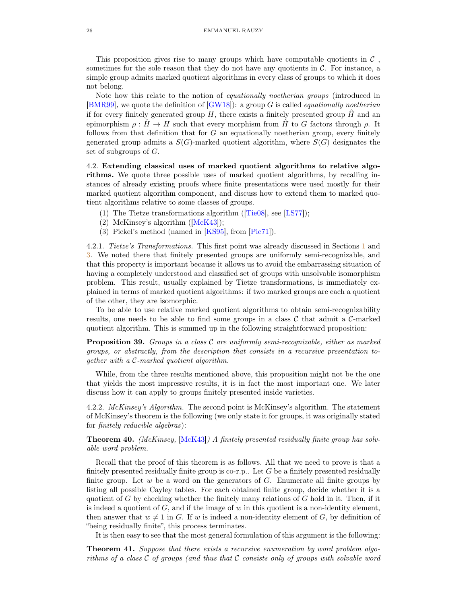<span id="page-25-1"></span>This proposition gives rise to many groups which have computable quotients in  $\mathcal C$ , sometimes for the sole reason that they do not have any quotients in  $C$ . For instance, a simple group admits marked quotient algorithms in every class of groups to which it does not belong.

Note how this relate to the notion of equationally noetherian groups (introduced in [\[BMR99\]](#page-29-19), we quote the definition of  $(GW18)$ ]: a group G is called *equationally noetherian* if for every finitely generated group  $H$ , there exists a finitely presented group  $H$  and an epimorphism  $\rho: \tilde{H} \to H$  such that every morphism from  $\tilde{H}$  to G factors through  $\rho$ . It follows from that definition that for  $G$  an equationally noetherian group, every finitely generated group admits a  $S(G)$ -marked quotient algorithm, where  $S(G)$  designates the set of subgroups of G.

<span id="page-25-0"></span>4.2. Extending classical uses of marked quotient algorithms to relative algorithms. We quote three possible uses of marked quotient algorithms, by recalling instances of already existing proofs where finite presentations were used mostly for their marked quotient algorithm component, and discuss how to extend them to marked quotient algorithms relative to some classes of groups.

- (1) The Tietze transformations algorithm ( $[Tie08]$ , see [\[LS77\]](#page-30-29));
- (2) McKinsey's algorithm  $([McK43])$  $([McK43])$  $([McK43])$ ;
- (3) Pickel's method (named in [\[KS95\]](#page-30-18), from [\[Pic71\]](#page-30-30)).

4.2.1. Tietze's Transformations. This first point was already discussed in Sections [1](#page-9-0) and [3.](#page-20-0) We noted there that finitely presented groups are uniformly semi-recognizable, and that this property is important because it allows us to avoid the embarrassing situation of having a completely understood and classified set of groups with unsolvable isomorphism problem. This result, usually explained by Tietze transformations, is immediately explained in terms of marked quotient algorithms: if two marked groups are each a quotient of the other, they are isomorphic.

To be able to use relative marked quotient algorithms to obtain semi-recognizability results, one needs to be able to find some groups in a class  $\mathcal C$  that admit a  $\mathcal C$ -marked quotient algorithm. This is summed up in the following straightforward proposition:

**Proposition 39.** Groups in a class  $C$  are uniformly semi-recognizable, either as marked groups, or abstractly, from the description that consists in a recursive presentation together with a C-marked quotient algorithm.

While, from the three results mentioned above, this proposition might not be the one that yields the most impressive results, it is in fact the most important one. We later discuss how it can apply to groups finitely presented inside varieties.

4.2.2. McKinsey's Algorithm. The second point is McKinsey's algorithm. The statement of McKinsey's theorem is the following (we only state it for groups, it was originally stated for finitely reducible algebras):

**Theorem 40.** (McKinsey,  $[\text{McK43}]$ ) A finitely presented residually finite group has solvable word problem.

Recall that the proof of this theorem is as follows. All that we need to prove is that a finitely presented residually finite group is co-r.p.. Let  $G$  be a finitely presented residually finite group. Let  $w$  be a word on the generators of  $G$ . Enumerate all finite groups by listing all possible Cayley tables. For each obtained finite group, decide whether it is a quotient of  $G$  by checking whether the finitely many relations of  $G$  hold in it. Then, if it is indeed a quotient of  $G$ , and if the image of  $w$  in this quotient is a non-identity element, then answer that  $w \neq 1$  in G. If w is indeed a non-identity element of G, by definition of "being residually finite", this process terminates.

It is then easy to see that the most general formulation of this argument is the following:

Theorem 41. Suppose that there exists a recursive enumeration by word problem algorithms of a class  $C$  of groups (and thus that  $C$  consists only of groups with solvable word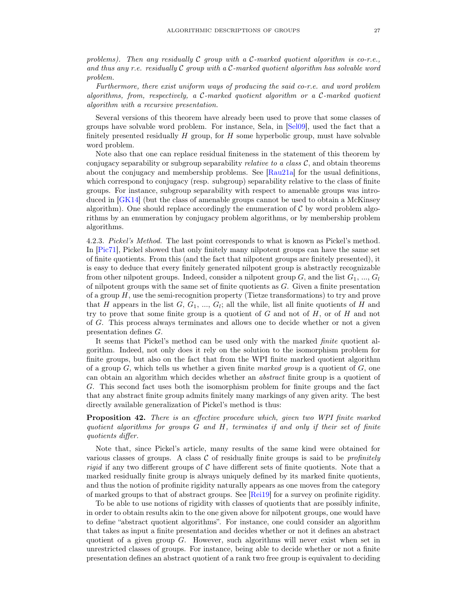<span id="page-26-0"></span>problems). Then any residually  $C$  group with a  $C$ -marked quotient algorithm is co-r.e., and thus any r.e. residually  $\mathcal C$  group with a  $\mathcal C$ -marked quotient algorithm has solvable word problem.

Furthermore, there exist uniform ways of producing the said co-r.e. and word problem algorithms, from, respectively, a C-marked quotient algorithm or a C-marked quotient algorithm with a recursive presentation.

Several versions of this theorem have already been used to prove that some classes of groups have solvable word problem. For instance, Sela, in [\[Sel09\]](#page-30-31), used the fact that a finitely presented residually  $H$  group, for  $H$  some hyperbolic group, must have solvable word problem.

Note also that one can replace residual finiteness in the statement of this theorem by conjugacy separability or subgroup separability *relative to a class*  $C$ , and obtain theorems about the conjugacy and membership problems. See [\[Rau21a\]](#page-30-27) for the usual definitions, which correspond to conjugacy (resp. subgroup) separability relative to the class of finite groups. For instance, subgroup separability with respect to amenable groups was introduced in [\[GK14\]](#page-29-20) (but the class of amenable groups cannot be used to obtain a McKinsey algorithm). One should replace accordingly the enumeration of  $\mathcal C$  by word problem algorithms by an enumeration by conjugacy problem algorithms, or by membership problem algorithms.

4.2.3. Pickel's Method. The last point corresponds to what is known as Pickel's method. In [\[Pic71\]](#page-30-30), Pickel showed that only finitely many nilpotent groups can have the same set of finite quotients. From this (and the fact that nilpotent groups are finitely presented), it is easy to deduce that every finitely generated nilpotent group is abstractly recognizable from other nilpotent groups. Indeed, consider a nilpotent group G, and the list  $G_1, ..., G_l$ of nilpotent groups with the same set of finite quotients as  $G$ . Given a finite presentation of a group  $H$ , use the semi-recognition property (Tietze transformations) to try and prove that H appears in the list  $G, G_1, ..., G_l$ ; all the while, list all finite quotients of H and try to prove that some finite group is a quotient of  $G$  and not of  $H$ , or of  $H$  and not of G. This process always terminates and allows one to decide whether or not a given presentation defines G.

It seems that Pickel's method can be used only with the marked finite quotient algorithm. Indeed, not only does it rely on the solution to the isomorphism problem for finite groups, but also on the fact that from the WPI finite marked quotient algorithm of a group  $G$ , which tells us whether a given finite marked group is a quotient of  $G$ , one can obtain an algorithm which decides whether an abstract finite group is a quotient of G. This second fact uses both the isomorphism problem for finite groups and the fact that any abstract finite group admits finitely many markings of any given arity. The best directly available generalization of Pickel's method is thus:

## **Proposition 42.** There is an effective procedure which, given two WPI finite marked quotient algorithms for groups G and H, terminates if and only if their set of finite quotients differ.

Note that, since Pickel's article, many results of the same kind were obtained for various classes of groups. A class  $C$  of residually finite groups is said to be *profinitely* rigid if any two different groups of  $\mathcal C$  have different sets of finite quotients. Note that a marked residually finite group is always uniquely defined by its marked finite quotients, and thus the notion of profinite rigidity naturally appears as one moves from the category of marked groups to that of abstract groups. See [\[Rei19\]](#page-30-32) for a survey on profinite rigidity.

To be able to use notions of rigidity with classes of quotients that are possibly infinite, in order to obtain results akin to the one given above for nilpotent groups, one would have to define "abstract quotient algorithms". For instance, one could consider an algorithm that takes as input a finite presentation and decides whether or not it defines an abstract quotient of a given group G. However, such algorithms will never exist when set in unrestricted classes of groups. For instance, being able to decide whether or not a finite presentation defines an abstract quotient of a rank two free group is equivalent to deciding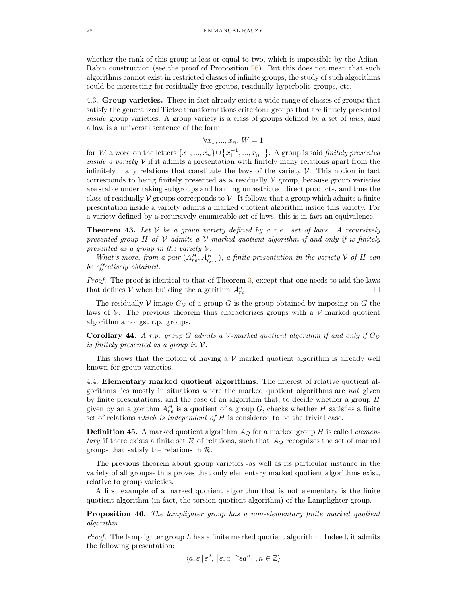whether the rank of this group is less or equal to two, which is impossible by the Adian-Rabin construction (see the proof of Proposition [26\)](#page-21-0). But this does not mean that such algorithms cannot exist in restricted classes of infinite groups, the study of such algorithms could be interesting for residually free groups, residually hyperbolic groups, etc.

<span id="page-27-0"></span>4.3. Group varieties. There in fact already exists a wide range of classes of groups that satisfy the generalized Tietze transformations criterion: groups that are finitely presented inside group varieties. A group variety is a class of groups defined by a set of laws, and a law is a universal sentence of the form:

$$
\forall x_1, ..., x_n, W = 1
$$

for W a word on the letters  $\{x_1, ..., x_n\} \cup \{x_1^{-1}, ..., x_n^{-1}\}$ . A group is said *finitely presented* inside a variety  $V$  if it admits a presentation with finitely many relations apart from the infinitely many relations that constitute the laws of the variety  $\mathcal V$ . This notion in fact corresponds to being finitely presented as a residually  $\mathcal V$  group, because group varieties are stable under taking subgroups and forming unrestricted direct products, and thus the class of residually  $\mathcal V$  groups corresponds to  $\mathcal V$ . It follows that a group which admits a finite presentation inside a variety admits a marked quotient algorithm inside this variety. For a variety defined by a recursively enumerable set of laws, this is in fact an equivalence.

<span id="page-27-2"></span>**Theorem 43.** Let  $V$  be a group variety defined by a r.e. set of laws. A recursively presented group H of V admits a V-marked quotient algorithm if and only if is finitely presented as a group in the variety  $V$ .

What's more, from a pair  $(A_{re}^H, A_{Q,\mathcal{V}}^H)$ , a finite presentation in the variety  $\mathcal V$  of  $H$  can be effectively obtained.

Proof. The proof is identical to that of Theorem [3,](#page-4-0) except that one needs to add the laws that defines V when building the algorithm  $\mathcal{A}_{re}^{n}$ .  $\Gamma$ re.

The residually V image  $G_V$  of a group G is the group obtained by imposing on G the laws of  $\mathcal V$ . The previous theorem thus characterizes groups with a  $\mathcal V$  marked quotient algorithm amongst r.p. groups.

**Corollary 44.** A r.p. group G admits a V-marked quotient algorithm if and only if  $G_V$ is finitely presented as a group in  $\mathcal V$ .

This shows that the notion of having a  $\mathcal V$  marked quotient algorithm is already well known for group varieties.

<span id="page-27-1"></span>4.4. Elementary marked quotient algorithms. The interest of relative quotient algorithms lies mostly in situations where the marked quotient algorithms are not given by finite presentations, and the case of an algorithm that, to decide whether a group H given by an algorithm  $A_{re}^H$  is a quotient of a group G, checks whether H satisfies a finite set of relations which is independent of H is considered to be the trivial case.

**Definition 45.** A marked quotient algorithm  $\mathcal{A}_{Q}$  for a marked group H is called *elemen*tary if there exists a finite set R of relations, such that  $\mathcal{A}_{Q}$  recognizes the set of marked groups that satisfy the relations in R.

The previous theorem about group varieties -as well as its particular instance in the variety of all groups- thus proves that only elementary marked quotient algorithms exist, relative to group varieties.

A first example of a marked quotient algorithm that is not elementary is the finite quotient algorithm (in fact, the torsion quotient algorithm) of the Lamplighter group.

Proposition 46. The lamplighter group has a non-elementary finite marked quotient algorithm.

*Proof.* The lamplighter group  $L$  has a finite marked quotient algorithm. Indeed, it admits the following presentation:

$$
\langle a, \varepsilon | \varepsilon^2, [\varepsilon, a^{-n} \varepsilon a^n], n \in \mathbb{Z} \rangle
$$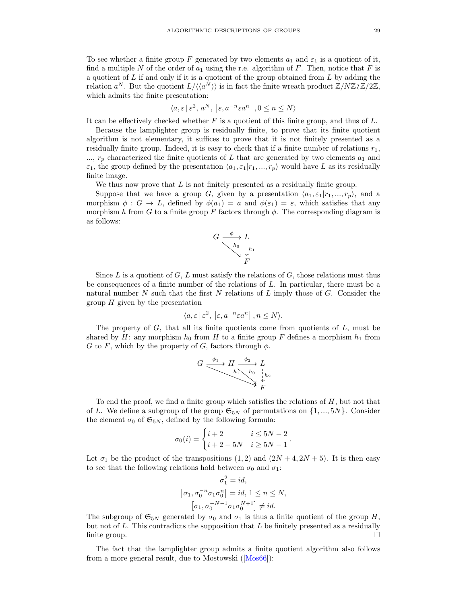<span id="page-28-0"></span>To see whether a finite group F generated by two elements  $a_1$  and  $\varepsilon_1$  is a quotient of it, find a multiple N of the order of  $a_1$  using the r.e. algorithm of F. Then, notice that F is a quotient of  $L$  if and only if it is a quotient of the group obtained from  $L$  by adding the relation  $a^N$ . But the quotient  $L/\langle \langle a^N \rangle \rangle$  is in fact the finite wreath product  $\mathbb{Z}/N\mathbb{Z}_l \mathbb{Z}/2\mathbb{Z}$ , which admits the finite presentation:

$$
\langle a,\varepsilon \,|\, \varepsilon^2,\, a^N,\, \left[\varepsilon,a^{-n}\varepsilon a^n\right], 0\leq n\leq N\rangle
$$

It can be effectively checked whether  $F$  is a quotient of this finite group, and thus of  $L$ .

Because the lamplighter group is residually finite, to prove that its finite quotient algorithm is not elementary, it suffices to prove that it is not finitely presented as a residually finite group. Indeed, it is easy to check that if a finite number of relations  $r_1$ ,  $..., r_p$  characterized the finite quotients of L that are generated by two elements  $a_1$  and  $\varepsilon_1$ , the group defined by the presentation  $\langle a_1, \varepsilon_1|r_1, ..., r_p \rangle$  would have L as its residually finite image.

We thus now prove that  $L$  is not finitely presented as a residually finite group.

Suppose that we have a group G, given by a presentation  $\langle a_1, \varepsilon_1 | r_1, ..., r_p \rangle$ , and a morphism  $\phi : G \to L$ , defined by  $\phi(a_1) = a$  and  $\phi(\varepsilon_1) = \varepsilon$ , which satisfies that any morphism h from G to a finite group F factors through  $\phi$ . The corresponding diagram is as follows:

$$
G \xrightarrow{\phi} L
$$
\n
$$
\begin{array}{c}\nh_0 \\
\searrow \quad \downarrow h_1 \\
\searrow \quad \downarrow F\n\end{array}
$$

Since L is a quotient of G, L must satisfy the relations of G, those relations must thus be consequences of a finite number of the relations of L. In particular, there must be a natural number  $N$  such that the first  $N$  relations of  $L$  imply those of  $G$ . Consider the group  $H$  given by the presentation

$$
\langle a, \varepsilon \, | \, \varepsilon^2, \, [\varepsilon, a^{-n} \varepsilon a^n] \, , n \le N \rangle.
$$

The property of  $G$ , that all its finite quotients come from quotients of  $L$ , must be shared by H: any morphism  $h_0$  from H to a finite group F defines a morphism  $h_1$  from G to F, which by the property of G, factors through  $\phi$ .

$$
G \xrightarrow{\phi_1} H \xrightarrow{b_2} L
$$
\n
$$
h_1 \xrightarrow{h_0} h_0 \xrightarrow{h_1} h_2
$$
\n
$$
F
$$

To end the proof, we find a finite group which satisfies the relations of  $H$ , but not that of L. We define a subgroup of the group  $\mathfrak{S}_{5N}$  of permutations on  $\{1, ..., 5N\}$ . Consider the element  $\sigma_0$  of  $\mathfrak{S}_{5N}$ , defined by the following formula:

$$
\sigma_0(i) = \begin{cases} i+2 & i \le 5N-2 \\ i+2-5N & i \ge 5N-1 \end{cases}.
$$

Let  $\sigma_1$  be the product of the transpositions  $(1, 2)$  and  $(2N + 4, 2N + 5)$ . It is then easy to see that the following relations hold between  $\sigma_0$  and  $\sigma_1$ :

$$
\sigma_1^2 = id,
$$
  
\n
$$
[\sigma_1, \sigma_0^{-n} \sigma_1 \sigma_0^n] = id, 1 \le n \le N,
$$
  
\n
$$
[\sigma_1, \sigma_0^{-N-1} \sigma_1 \sigma_0^{N+1}] \ne id.
$$

The subgroup of  $\mathfrak{S}_{5N}$  generated by  $\sigma_0$  and  $\sigma_1$  is thus a finite quotient of the group H, but not of  $L$ . This contradicts the supposition that  $L$  be finitely presented as a residually  $\Box$  finite group.

The fact that the lamplighter group admits a finite quotient algorithm also follows from a more general result, due to Mostowski ([\[Mos66\]](#page-30-33)):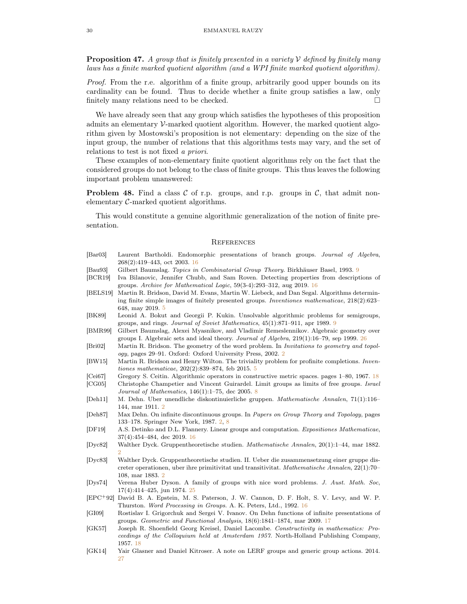**Proposition 47.** A group that is finitely presented in a variety  $V$  defined by finitely many laws has a finite marked quotient algorithm (and a WPI finite marked quotient algorithm).

Proof. From the r.e. algorithm of a finite group, arbitrarily good upper bounds on its cardinality can be found. Thus to decide whether a finite group satisfies a law, only finitely many relations need to be checked.  $\Box$ 

We have already seen that any group which satisfies the hypotheses of this proposition admits an elementary V-marked quotient algorithm. However, the marked quotient algorithm given by Mostowski's proposition is not elementary: depending on the size of the input group, the number of relations that this algorithms tests may vary, and the set of relations to test is not fixed a priori.

These examples of non-elementary finite quotient algorithms rely on the fact that the considered groups do not belong to the class of finite groups. This thus leaves the following important problem unanswered:

**Problem 48.** Find a class C of r.p. groups, and r.p. groups in C, that admit nonelementary C-marked quotient algorithms.

This would constitute a genuine algorithmic generalization of the notion of finite presentation.

#### <span id="page-29-0"></span>**REFERENCES**

<span id="page-29-19"></span><span id="page-29-14"></span><span id="page-29-13"></span><span id="page-29-10"></span><span id="page-29-9"></span><span id="page-29-7"></span><span id="page-29-6"></span><span id="page-29-5"></span>

| $\left[\text{Bar}03\right]$ | Laurent Bartholdi. Endomorphic presentations of branch groups. Journal of Algebra,<br>268(2):419-443, oct 2003. 16                                                                                  |
|-----------------------------|-----------------------------------------------------------------------------------------------------------------------------------------------------------------------------------------------------|
| [Bau93]                     | Gilbert Baumslag. Topics in Combinatorial Group Theory. Birkhäuser Basel, 1993. 9                                                                                                                   |
| [BCR19]                     | Iva Bilanovic, Jennifer Chubb, and Sam Roven. Detecting properties from descriptions of                                                                                                             |
|                             | groups. Archive for Mathematical Logic, $59(3-4):293-312$ , aug 2019. 16                                                                                                                            |
| [BELS19]                    | Martin R. Bridson, David M. Evans, Martin W. Liebeck, and Dan Segal. Algorithms determin-<br>ing finite simple images of finitely presented groups. <i>Inventiones mathematicae</i> , $218(2):623-$ |
|                             | 648, may 2019. 5                                                                                                                                                                                    |
| [BK89]                      | Leonid A. Bokut and Georgii P. Kukin. Unsolvable algorithmic problems for semigroups,<br>groups, and rings. Journal of Soviet Mathematics, $45(1)$ :871-911, apr 1989. 9                            |
| [BMR99]                     | Gilbert Baumslag, Alexei Myasnikov, and Vladimir Remeslennikov. Algebraic geometry over<br>groups I. Algebraic sets and ideal theory. Journal of Algebra, $219(1):16-79$ , sep 1999. 26             |
| [Bri02]                     | Martin R. Bridson. The geometry of the word problem. In <i>Invitations to geometry and topol</i> -<br>ogy, pages 29–91. Oxford: Oxford University Press, 2002. 2                                    |
| [BW15]                      | Martin R. Bridson and Henry Wilton. The triviality problem for profinite completions. <i>Inven</i> -<br><i>tiones mathematicae</i> , $202(2):839-874$ , feb 2015. 5                                 |
| [Cei67]                     | Gregory S. Ceitin. Algorithmic operators in constructive metric spaces. pages 1–80, 1967. 18                                                                                                        |
|                             |                                                                                                                                                                                                     |
| [CG05]                      | Christophe Champetier and Vincent Guirardel. Limit groups as limits of free groups. Israel<br><i>Journal of Mathematics</i> , $146(1)$ :1-75, dec 2005. 8                                           |
| [Deh11]                     | M. Dehn. Über unendliche diskontinuierliche gruppen. Mathematische Annalen, 71(1):116–<br>144, mar 1911. 2                                                                                          |
| [Deh87]                     | Max Dehn. On infinite discontinuous groups. In Papers on Group Theory and Topology, pages                                                                                                           |
|                             | 133–178. Springer New York, 1987. 2, 8                                                                                                                                                              |
| [DF19]                      | A.S. Detinko and D.L. Flannery. Linear groups and computation. Expositiones Mathematicae,                                                                                                           |
|                             | 37(4):454–484, dec 2019. 16                                                                                                                                                                         |
| [Dyc82]                     | Walther Dyck. Gruppentheoretische studien. Mathematische Annalen, 20(1):1–44, mar 1882.                                                                                                             |
|                             | $\mathfrak{D}$                                                                                                                                                                                      |
| [Dyc83]                     | Walther Dyck. Gruppentheoretische studien. II. Ueber die zusammensetzung einer gruppe dis-<br>creter operationen, uber ihre primitivitat und transitivitat. Mathematische Annalen, $22(1)$ :70-     |
|                             | 108, mar 1883. 2                                                                                                                                                                                    |
| [Dys74]                     | Verena Huber Dyson. A family of groups with nice word problems. J. Aust. Math. Soc.                                                                                                                 |
|                             | $17(4)$ :414-425, jun 1974. 25                                                                                                                                                                      |
|                             | [EPC <sup>+</sup> 02] David B A Epstein M S Paterson J W Cannon D E Holt S V Levy and W P                                                                                                           |

- <span id="page-29-18"></span><span id="page-29-17"></span><span id="page-29-12"></span><span id="page-29-11"></span><span id="page-29-8"></span><span id="page-29-4"></span><span id="page-29-3"></span><span id="page-29-2"></span><span id="page-29-1"></span>[EPC+92] David B. A. Epstein, M. S. Paterson, J. W. Cannon, D. F. Holt, S. V. Levy, and W. P. Thurston. Word Processing in Groups. A. K. Peters, Ltd., 1992. [16](#page-15-3)
- <span id="page-29-15"></span>[GI09] Rostislav I. Grigorchuk and Sergei V. Ivanov. On Dehn functions of infinite presentations of groups. Geometric and Functional Analysis, 18(6):1841–1874, mar 2009. [17](#page-16-1)
- <span id="page-29-16"></span>[GK57] Joseph R. Shoenfield Georg Kreisel, Daniel Lacombe. Constructivity in mathematics: Proceedings of the Colloquium held at Amsterdam 1957. North-Holland Publishing Company, 1957. [18](#page-17-1)
- <span id="page-29-20"></span>[GK14] Yair Glasner and Daniel Kitroser. A note on LERF groups and generic group actions. 2014. [27](#page-26-0)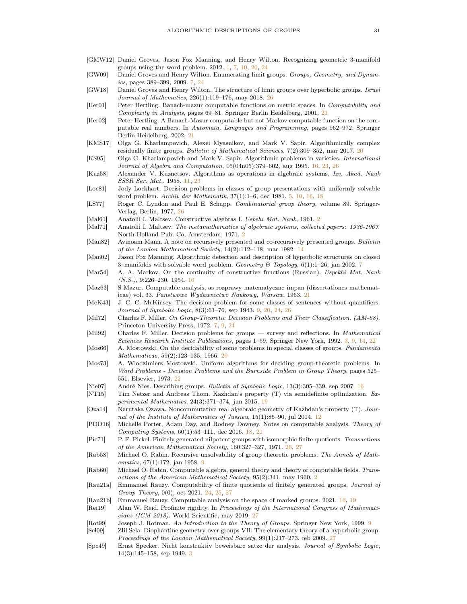- <span id="page-30-0"></span>[GMW12] Daniel Groves, Jason Fox Manning, and Henry Wilton. Recognizing geometric 3-manifold groups using the word problem. 2012. [1,](#page-0-0) [7,](#page-6-1) [10,](#page-9-3) [20,](#page-19-3) [24](#page-23-3)
- <span id="page-30-7"></span>[GW09] Daniel Groves and Henry Wilton. Enumerating limit groups. Groups, Geometry, and Dynamics, pages 389–399, 2009. [7,](#page-6-1) [24](#page-23-3)
- <span id="page-30-28"></span>[GW18] Daniel Groves and Henry Wilton. The structure of limit groups over hyperbolic groups. Israel Journal of Mathematics, 226(1):119–176, may 2018. [26](#page-25-1)
- <span id="page-30-24"></span>[Her01] Peter Hertling. Banach-mazur computable functions on metric spaces. In Computability and Complexity in Analysis, pages 69–81. Springer Berlin Heidelberg, 2001. [21](#page-20-2)
- <span id="page-30-25"></span>[Her02] Peter Hertling. A Banach-Mazur computable but not Markov computable function on the computable real numbers. In Automata, Languages and Programming, pages 962–972. Springer Berlin Heidelberg, 2002. [21](#page-20-2)
- <span id="page-30-22"></span>[KMS17] Olga G. Kharlampovich, Alexei Myasnikov, and Mark V. Sapir. Algorithmically complex residually finite groups. Bulletin of Mathematical Sciences, 7(2):309-352, mar [20](#page-19-3)17. 20
- <span id="page-30-18"></span>[KS95] Olga G. Kharlampovich and Mark V. Sapir. Algorithmic problems in varieties. International Journal of Algebra and Computation, 05(04n05):379–602, aug 1995. [16,](#page-15-3) [23,](#page-22-3) [26](#page-25-1)
- <span id="page-30-13"></span>[Kuz58] Alexander V. Kuznetsov. Algorithms as operations in algebraic systems. Izv. Akad. Nauk SSSR Ser. Mat., 1958. [11,](#page-10-1) [23](#page-22-3)
- <span id="page-30-6"></span>[Loc81] Jody Lockhart. Decision problems in classes of group presentations with uniformly solvable word problem. Archiv der Mathematik, 37(1):1–6, dec 1981. [5,](#page-4-1) [10,](#page-9-3) [16,](#page-15-3) [18](#page-17-1)
- <span id="page-30-29"></span>[LS77] Roger C. Lyndon and Paul E. Schupp. Combinatorial group theory, volume 89. Springer-Verlag, Berlin, 1977. [26](#page-25-1)
- <span id="page-30-1"></span>[Mal61] Anatolii I. Maltsev. Constructive algebras I. Uspehi Mat. Nauk, 1961. [2](#page-1-1)
- <span id="page-30-2"></span>[Mal71] Anatolii I. Maltsev. The metamathematics of algebraic systems, collected papers: 1936-1967. North-Holland Pub. Co, Amsterdam, 1971. [2](#page-1-1)
- <span id="page-30-15"></span>[Man82] Avinoam Mann. A note on recursively presented and co-recursively presented groups. Bulletin of the London Mathematical Society,  $14(2):112-118$  $14(2):112-118$ , mar 1982. 14
- <span id="page-30-8"></span>[Man02] Jason Fox Manning. Algorithmic detection and description of hyperbolic structures on closed 3-manifolds with solvable word problem. Geometry & Topology,  $6(1)$ :1-26, jan 2002. [7](#page-6-1)
- <span id="page-30-17"></span>[Mar54] A. A. Markov. On the continuity of constructive functions (Russian). Uspekhi Mat. Nauk (N.S.), 9:226–230, 1954. [16](#page-15-3)
- <span id="page-30-23"></span>[Maz63] S Mazur. Computable analysis, as rozprawy matematyczne impan (dissertationes mathematicae) vol. 33. Panstwowe Wydawnictwo Naukowy, Warsaw, 1963. [21](#page-20-2)
- <span id="page-30-10"></span>[McK43] J. C. C. McKinsey. The decision problem for some classes of sentences without quantifiers. Journal of Symbolic Logic, 8(3):61–76, sep 1943. [9,](#page-8-0) [20,](#page-19-3) [24,](#page-23-3) [26](#page-25-1)
- <span id="page-30-9"></span>[Mil72] Charles F. Miller. On Group-Theoretic Decision Problems and Their Classification. (AM-68). Princeton University Press, 1972. [7,](#page-6-1) [9,](#page-8-0) [24](#page-23-3)
- <span id="page-30-5"></span>[Mil92] Charles F. Miller. Decision problems for groups — survey and reflections. In Mathematical Sciences Research Institute Publications, pages 1–59. Springer New York, 1992. [3,](#page-2-0) [9,](#page-8-0) [14,](#page-13-1) [22](#page-21-1)
- <span id="page-30-33"></span>[Mos66] A. Mostowski. On the decidability of some problems in special classes of groups. Fundamenta Mathematicae, 59(2):123–135, 1966. [29](#page-28-0)
- <span id="page-30-26"></span>[Mos73] A. Wlodzimierz Mostowski. Uniform algorithms for deciding group-theoretic problems. In Word Problems - Decision Problems and the Burnside Problem in Group Theory, pages 525– 551. Elsevier, 1973. [22](#page-21-1)
- <span id="page-30-19"></span>[Nie07] André Nies. Describing groups. Bulletin of Symbolic Logic, 13(3):305–339, sep 2007. [16](#page-15-3)
- <span id="page-30-21"></span>[NT15] Tim Netzer and Andreas Thom. Kazhdan's property (T) via semidefinite optimization. Experimental Mathematics, 24(3):371–374, jun 2015. [19](#page-18-1)
- <span id="page-30-14"></span>[Oza14] Narutaka Ozawa. Noncommutative real algebraic geometry of Kazhdan's property (T). Jour-nal of the Institute of Mathematics of Jussieu, 15(1):85–90, jul 2014. [12](#page-11-1)
- <span id="page-30-20"></span>[PDD16] Michelle Porter, Adam Day, and Rodney Downey. Notes on computable analysis. Theory of Computing Systems, 60(1):53–111, dec 2016. [18,](#page-17-1) [21](#page-20-2)
- <span id="page-30-30"></span>[Pic71] P. F. Pickel. Finitely generated nilpotent groups with isomorphic finite quotients. Transactions of the American Mathematical Society, 160:327–327, 1971. [26,](#page-25-1) [27](#page-26-0)
- <span id="page-30-11"></span>[Rab58] Michael O. Rabin. Recursive unsolvability of group theoretic problems. The Annals of Math-ematics, 67(1):172, jan 1[9](#page-8-0)58. 9
- <span id="page-30-3"></span>[Rab60] Michael O. Rabin. Computable algebra, general theory and theory of computable fields. Transactions of the American Mathematical Society, 95(2):341, may 1960. [2](#page-1-1)
- <span id="page-30-27"></span>[Rau21a] Emmanuel Rauzy. Computability of finite quotients of finitely generated groups. Journal of Group Theory, 0(0), oct 2021. [24,](#page-23-3) [25,](#page-24-0) [27](#page-26-0)
- <span id="page-30-16"></span>[Rau21b] Emmanuel Rauzy. Computable analysis on the space of marked groups. 2021. [16,](#page-15-3) [19](#page-18-1)
- <span id="page-30-32"></span>[Rei19] Alan W. Reid. Profinite rigidity. In Proceedings of the International Congress of Mathematicians (ICM 2018). World Scientific, may 2019. [27](#page-26-0)
- <span id="page-30-12"></span>[Rot99] Joseph J. Rotman. An Introduction to the Theory of Groups. Springer New York, 1999. [9](#page-8-0)
- <span id="page-30-31"></span>[Sel09] Zlil Sela. Diophantine geometry over groups VII: The elementary theory of a hyperbolic group. Proceedings of the London Mathematical Society, 99(1):217–273, feb 2009. [27](#page-26-0)
- <span id="page-30-4"></span>[Spe49] Ernst Specker. Nicht konstruktiv beweisbare satze der analysis. Journal of Symbolic Logic, 14(3):145–158, sep 1949. [3](#page-2-0)